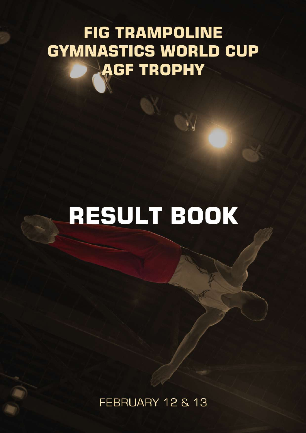## **FIG TRAMPOLINE GYMNASTICS WORLD CUP AGF TROPHY**

# RESULT BOOK

FEBRUARY 12 & 13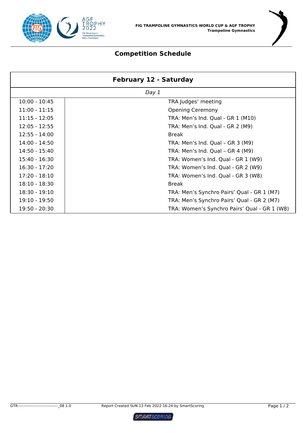

#### **Competition Schedule**

| <b>February 12 - Saturday</b> |                                              |  |  |  |
|-------------------------------|----------------------------------------------|--|--|--|
|                               | Day 1                                        |  |  |  |
| $10:00 - 10:45$               | TRA Judges' meeting                          |  |  |  |
| $11:00 - 11:15$               | <b>Opening Ceremony</b>                      |  |  |  |
| $11:15 - 12:05$               | TRA: Men's Ind. Qual - GR 1 (M10)            |  |  |  |
| $12:05 - 12:55$               | TRA: Men's Ind. Qual - GR 2 (M9)             |  |  |  |
| $12:55 - 14:00$               | <b>Break</b>                                 |  |  |  |
| $14:00 - 14:50$               | TRA: Men's Ind. Qual - GR 3 (M9)             |  |  |  |
| 14:50 - 15:40                 | TRA: Men's Ind. Qual - GR 4 (M9)             |  |  |  |
| $15:40 - 16:30$               | TRA: Women's Ind. Qual - GR 1 (W9)           |  |  |  |
| $16:30 - 17:20$               | TRA: Women's Ind. Qual - GR 2 (W9)           |  |  |  |
| $17:20 - 18:10$               | TRA: Women's Ind. Qual - GR 3 (W8)           |  |  |  |
| $18:10 - 18:30$               | <b>Break</b>                                 |  |  |  |
| 18:30 - 19:10                 | TRA: Men's Synchro Pairs' Qual - GR 1 (M7)   |  |  |  |
| 19:10 - 19:50                 | TRA: Men's Synchro Pairs' Qual - GR 2 (M7)   |  |  |  |
| 19:50 - 20:30                 | TRA: Women's Synchro Pairs' Qual - GR 1 (W8) |  |  |  |

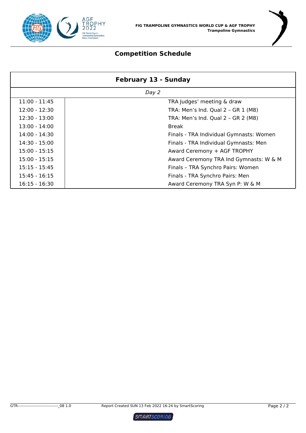

### **Competition Schedule**

| <b>February 13 - Sunday</b> |                                         |  |  |  |
|-----------------------------|-----------------------------------------|--|--|--|
|                             | Day 2                                   |  |  |  |
| $11:00 - 11:45$             | TRA Judges' meeting & draw              |  |  |  |
| $12:00 - 12:30$             | TRA: Men's Ind. Qual 2 - GR 1 (M8)      |  |  |  |
| $12:30 - 13:00$             | TRA: Men's Ind. Qual 2 - GR 2 (M8)      |  |  |  |
| $13:00 - 14:00$             | <b>Break</b>                            |  |  |  |
| $14:00 - 14:30$             | Finals - TRA Individual Gymnasts: Women |  |  |  |
| 14:30 - 15:00               | Finals - TRA Individual Gymnasts: Men   |  |  |  |
| $15:00 - 15:15$             | Award Ceremony + AGF TROPHY             |  |  |  |
| $15:00 - 15:15$             | Award Ceremony TRA Ind Gymnasts: W & M  |  |  |  |
| $15:15 - 15:45$             | Finals - TRA Synchro Pairs: Women       |  |  |  |
| 15:45 - 16:15               | Finals - TRA Synchro Pairs: Men         |  |  |  |
| $16:15 - 16:30$             | Award Ceremony TRA Syn P: W & M         |  |  |  |

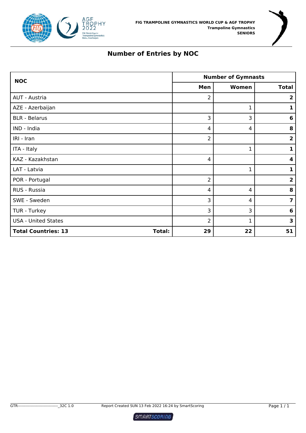



#### **Number of Entries by NOC**

| <b>NOC</b>                 | <b>Number of Gymnasts</b> |                |                |                         |  |  |
|----------------------------|---------------------------|----------------|----------------|-------------------------|--|--|
|                            |                           | Men            | Women          | <b>Total</b>            |  |  |
| AUT - Austria              |                           | $\overline{2}$ |                | $\overline{\mathbf{2}}$ |  |  |
| AZE - Azerbaijan           |                           |                | 1              | 1                       |  |  |
| <b>BLR</b> - Belarus       |                           | 3              | 3              | 6                       |  |  |
| IND - India                |                           | 4              | 4              | 8                       |  |  |
| IRI - Iran                 |                           | $\overline{2}$ |                | $\overline{2}$          |  |  |
| ITA - Italy                |                           |                | 1              | 1                       |  |  |
| KAZ - Kazakhstan           |                           | 4              |                | 4                       |  |  |
| LAT - Latvia               |                           |                | 1              | 1                       |  |  |
| POR - Portugal             |                           | 2              |                | $\overline{\mathbf{2}}$ |  |  |
| RUS - Russia               |                           | 4              | $\overline{4}$ | 8                       |  |  |
| SWE - Sweden               |                           | 3              | 4              | 7                       |  |  |
| TUR - Turkey               |                           | 3              | 3              | 6                       |  |  |
| <b>USA - United States</b> |                           | 2              | 1              | 3                       |  |  |
| <b>Total Countries: 13</b> | Total:                    | 29             | 22             | 51                      |  |  |

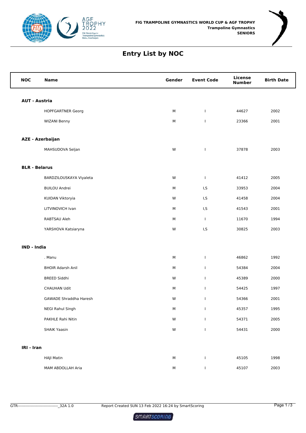



### **Entry List by NOC**

| <b>NOC</b>           | <b>Name</b>                   | Gender    | <b>Event Code</b>        | <b>License</b><br><b>Number</b> | <b>Birth Date</b> |
|----------------------|-------------------------------|-----------|--------------------------|---------------------------------|-------------------|
| <b>AUT - Austria</b> |                               |           |                          |                                 |                   |
|                      | <b>HOPFGARTNER Georg</b>      | М         | $\mathbf{I}$             | 44627                           | 2002              |
|                      | <b>WIZANI Benny</b>           | M         | $\mathbf{I}$             | 23366                           | 2001              |
|                      |                               |           |                          |                                 |                   |
|                      | <b>AZE - Azerbaijan</b>       |           |                          |                                 |                   |
|                      | MAHSUDOVA Seljan              | W         | $\mathbf{I}$             | 37878                           | 2003              |
|                      |                               |           |                          |                                 |                   |
| <b>BLR - Belarus</b> |                               |           |                          |                                 |                   |
|                      | BARDZILOUSKAYA Viyaleta       | W         | $\mathbf{I}$             | 41412                           | 2005              |
|                      | <b>BUILOU Andrei</b>          | М         | I, S                     | 33953                           | 2004              |
|                      | KUIDAN Viktoryia              | W         | I, S                     | 41458                           | 2004              |
|                      | LITVINOVICH Ivan              | М         | I,S                      | 41543                           | 2001              |
|                      | RABTSAU Aleh                  | М         | $\mathbf{I}$             | 11670                           | 1994              |
|                      | YARSHOVA Katsiaryna           | W         | I,S                      | 30825                           | 2003              |
| <b>IND - India</b>   |                               |           |                          |                                 |                   |
|                      | . Manu                        | М         | $\mathbf{I}$             | 46862                           | 1992              |
|                      | <b>BHOIR Adarsh Anil</b>      | М         | T                        | 54384                           | 2004              |
|                      | <b>BREED Siddhi</b>           | W         | T                        | 45389                           | 2000              |
|                      | <b>CHAUHAN Udit</b>           | M         | $\mathbf{I}$             | 54425                           | 1997              |
|                      | <b>GAWADE Shraddha Haresh</b> | W         | $\overline{\phantom{a}}$ | 54366                           | 2001              |
|                      | NEGI Rahul Singh              | ${\sf M}$ | $\overline{1}$           | 45357                           | 1995              |
|                      | PAKHLE Rahi Nitin             | W         | $\mathbf{I}$             | 54371                           | 2005              |
|                      | <b>SHAIK Yaasin</b>           | W         | $\mathbf{I}$             | 54431                           | 2000              |
| IRI - Iran           |                               |           |                          |                                 |                   |
|                      | <b>HAJI Matin</b>             | ${\sf M}$ | $\mathbf{I}$             | 45105                           | 1998              |
|                      | MAM ABDOLLAH Aria             | ${\sf M}$ | $\mathbf{I}$             | 45107                           | 2003              |

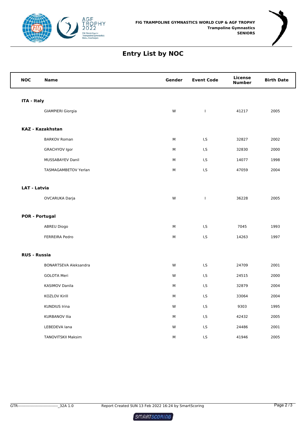



### **Entry List by NOC**

| <b>NOC</b>          | <b>Name</b>               | Gender | <b>Event Code</b> | License<br><b>Number</b> | <b>Birth Date</b> |
|---------------------|---------------------------|--------|-------------------|--------------------------|-------------------|
| ITA - Italy         |                           |        |                   |                          |                   |
|                     | <b>GIAMPIERI Giorgia</b>  | W      | $\mathsf I$       | 41217                    | 2005              |
|                     | <b>KAZ - Kazakhstan</b>   |        |                   |                          |                   |
|                     | <b>BARKOV Roman</b>       | М      | I, S              | 32827                    | 2002              |
|                     | GRACHYOV Igor             | М      | I, S              | 32830                    | 2000              |
|                     | MUSSABAYEV Danil          | М      | I, S              | 14077                    | 1998              |
|                     | TASMAGAMBETOV Yerlan      | М      | I, S              | 47059                    | 2004              |
| <b>LAT - Latvia</b> |                           |        |                   |                          |                   |
|                     | OVCARUKA Darja            | W      | $\mathbf{I}$      | 36228                    | 2005              |
|                     | <b>POR - Portugal</b>     |        |                   |                          |                   |
|                     | <b>ABREU Diogo</b>        | М      | I,S               | 7045                     | 1993              |
|                     | <b>FERREIRA Pedro</b>     | М      | I, S              | 14263                    | 1997              |
| <b>RUS - Russia</b> |                           |        |                   |                          |                   |
|                     | BONARTSEVA Aleksandra     | W      | I, S              | 24709                    | 2001              |
|                     | <b>GOLOTA Meri</b>        | W      | I.S               | 24515                    | 2000              |
|                     | KASIMOV Danila            | М      | I,S               | 32879                    | 2004              |
|                     | KOZLOV Kirill             | М      | I, S              | 33064                    | 2004              |
|                     | <b>KUNDIUS Irina</b>      | W      | I,S               | 9303                     | 1995              |
|                     | <b>KURBANOV Ilia</b>      | М      | I, S              | 42432                    | 2005              |
|                     | LEBEDEVA lana             | W      | I, S              | 24486                    | 2001              |
|                     | <b>TANOVITSKII Maksim</b> | М      | I, S              | 41946                    | 2005              |

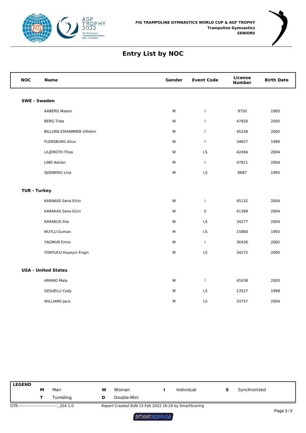



### **Entry List by NOC**

| <b>NOC</b>          | <b>Name</b>                     | Gender | <b>Event Code</b> | <b>License</b><br><b>Number</b> | <b>Birth Date</b> |
|---------------------|---------------------------------|--------|-------------------|---------------------------------|-------------------|
|                     | <b>SWE - Sweden</b>             |        |                   |                                 |                   |
|                     | <b>AABERG Maans</b>             | M      | $\mathbf{I}$      | 9750                            | 1993              |
|                     | <b>BERG Tilda</b>               | W      | $\mathbf{I}$      | 47920                           | 2005              |
|                     | <b>BILLVEN EDHAMMER Vilhelm</b> | M      | $\mathbf{I}$      | 45338                           | 2005              |
|                     | <b>FLENSBURG Alice</b>          | W      | $\mathbf{I}$      | 34657                           | 1999              |
|                     | LILJEROTH Thea                  | W      | I,S               | 42494                           | 2004              |
|                     | LIND Adrian                     | M      | $\mathbf{I}$      | 47811                           | 2004              |
|                     | SJOEBERG Lina                   | W      | I,S               | 8687                            | 1993              |
| <b>TUR - Turkey</b> |                                 |        |                   |                                 |                   |
|                     | KARAKAS Sena Elcin              | W      | $\mathbf{I}$      | 45132                           | 2004              |
|                     | KARAKAS Sena Elcin              | W      | S                 | 41368                           | 2004              |
|                     | <b>KARAKUS Sila</b>             | W      | I, S              | 34277                           | 2004              |
|                     | MUTLU Gurkan                    | M      | I,S               | 15860                           | 1993              |
|                     | YAGMUR Emre                     | М      | $\mathbf{I}$      | 36436                           | 2002              |
|                     | YONTUCU Huseyin Engin           | M      | I,S               | 34272                           | 2000              |
|                     | <b>USA - United States</b>      |        |                   |                                 |                   |
|                     | AMANO Maia                      | W      | $\mathbf{I}$      | 41638                           | 2003              |
|                     | <b>GESUELLI Cody</b>            | М      | I,S               | 13527                           | 1998              |
|                     | <b>WILLIAMS Jace</b>            | M      | I.S               | 33757                           | 2004              |

| <b>LEGEND</b>                       | М | Man      | w | Woman       | Individual                                           | Synchronized |             |
|-------------------------------------|---|----------|---|-------------|------------------------------------------------------|--------------|-------------|
|                                     |   | Tumbling | D | Double-Mini |                                                      |              |             |
| GTR-------------------------------- |   | 32A 1.0  |   |             | Report Created SUN 13 Feb 2022 16:24 by SmartScoring |              | $D - - - 0$ |

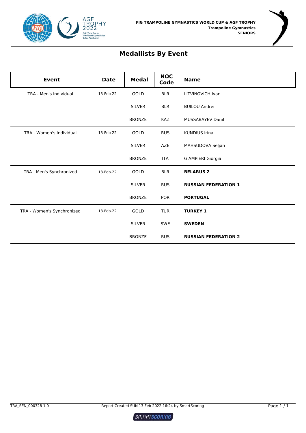



### **Medallists By Event**

| <b>Event</b>               | <b>Date</b> | <b>Medal</b>  | <b>NOC</b><br>Code | <b>Name</b>                 |
|----------------------------|-------------|---------------|--------------------|-----------------------------|
| TRA - Men's Individual     | 13-Feb-22   | GOLD          | <b>BLR</b>         | LITVINOVICH Ivan            |
|                            |             | <b>SILVER</b> | <b>BLR</b>         | <b>BUILOU Andrei</b>        |
|                            |             | <b>BRONZE</b> | <b>KAZ</b>         | <b>MUSSABAYEV Danil</b>     |
| TRA - Women's Individual   | 13-Feb-22   | <b>GOLD</b>   | <b>RUS</b>         | <b>KUNDIUS Irina</b>        |
|                            |             | <b>SILVER</b> | AZE                | MAHSUDOVA Seljan            |
|                            |             | <b>BRONZE</b> | <b>ITA</b>         | <b>GIAMPIERI Giorgia</b>    |
| TRA - Men's Synchronized   | 13-Feb-22   | GOLD          | <b>BLR</b>         | <b>BELARUS 2</b>            |
|                            |             | <b>SILVER</b> | <b>RUS</b>         | <b>RUSSIAN FEDERATION 1</b> |
|                            |             | <b>BRONZE</b> | <b>POR</b>         | <b>PORTUGAL</b>             |
| TRA - Women's Synchronized | 13-Feb-22   | GOLD          | <b>TUR</b>         | <b>TURKEY 1</b>             |
|                            |             | <b>SILVER</b> | <b>SWE</b>         | <b>SWEDEN</b>               |
|                            |             | <b>BRONZE</b> | <b>RUS</b>         | <b>RUSSIAN FEDERATION 2</b> |

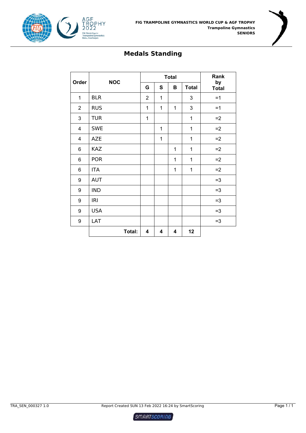

#### **Medals Standing**

|                |            |                | <b>Total</b> | Rank |              |                    |
|----------------|------------|----------------|--------------|------|--------------|--------------------|
| Order          | <b>NOC</b> | G              | S            | в    | <b>Total</b> | by<br><b>Total</b> |
| $\mathbf{1}$   | <b>BLR</b> | $\overline{c}$ | $\mathbf{1}$ |      | 3            | $=1$               |
| $\overline{2}$ | <b>RUS</b> | 1              | $\mathbf{1}$ | 1    | 3            | $=1$               |
| 3              | <b>TUR</b> | 1              |              |      | 1            | $=2$               |
| 4              | <b>SWE</b> |                | 1            |      | 1            | $=2$               |
| 4              | <b>AZE</b> |                | 1            |      | 1            | $=2$               |
| 6              | <b>KAZ</b> |                |              | 1    | 1            | $=2$               |
| 6              | <b>POR</b> |                |              | 1    | 1            | $=2$               |
| 6              | ITA        |                |              | 1    | 1            | $=2$               |
| 9              | <b>AUT</b> |                |              |      |              | $=3$               |
| 9              | <b>IND</b> |                |              |      |              | $=3$               |
| 9              | <b>IRI</b> |                |              |      |              | $=3$               |
| 9              | <b>USA</b> |                |              |      |              | $=3$               |
| 9              | LAT        |                |              |      |              | $=3$               |
|                | Total:     | 4              | 4            | 4    | 12           |                    |

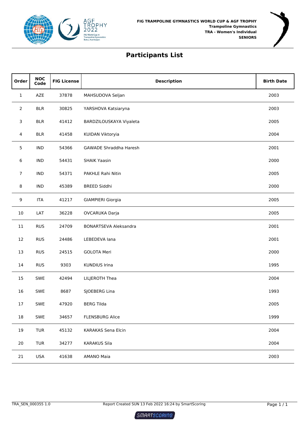



### **Participants List**

| Order          | <b>NOC</b><br>Code | <b>FIG License</b> | <b>Description</b>           | <b>Birth Date</b> |
|----------------|--------------------|--------------------|------------------------------|-------------------|
| $\mathbf{1}$   | AZE                | 37878              | MAHSUDOVA Seljan             | 2003              |
| 2              | <b>BLR</b>         | 30825              | YARSHOVA Katsiaryna          | 2003              |
| 3              | <b>BLR</b>         | 41412              | BARDZILOUSKAYA Viyaleta      | 2005              |
| 4              | <b>BLR</b>         | 41458              | KUIDAN Viktoryia             | 2004              |
| 5              | <b>IND</b>         | 54366              | GAWADE Shraddha Haresh       | 2001              |
| 6              | <b>IND</b>         | 54431              | <b>SHAIK Yaasin</b>          | 2000              |
| $\overline{7}$ | <b>IND</b>         | 54371              | PAKHLE Rahi Nitin            | 2005              |
| 8              | <b>IND</b>         | 45389              | <b>BREED Siddhi</b>          | 2000              |
| 9              | <b>ITA</b>         | 41217              | <b>GIAMPIERI Giorgia</b>     | 2005              |
| 10             | LAT                | 36228              | OVCARUKA Darja               | 2005              |
| 11             | <b>RUS</b>         | 24709              | <b>BONARTSEVA Aleksandra</b> | 2001              |
| 12             | <b>RUS</b>         | 24486              | LEBEDEVA lana                | 2001              |
| 13             | <b>RUS</b>         | 24515              | <b>GOLOTA Meri</b>           | 2000              |
| 14             | <b>RUS</b>         | 9303               | <b>KUNDIUS Irina</b>         | 1995              |
| 15             | SWE                | 42494              | LILJEROTH Thea               | 2004              |
| 16             | SWE                | 8687               | SJOEBERG Lina                | 1993              |
| 17             | SWE                | 47920              | <b>BERG Tilda</b>            | 2005              |
| 18             | SWE                | 34657              | <b>FLENSBURG Alice</b>       | 1999              |
| 19             | <b>TUR</b>         | 45132              | KARAKAS Sena Elcin           | 2004              |
| 20             | <b>TUR</b>         | 34277              | <b>KARAKUS Sila</b>          | 2004              |
| 21             | <b>USA</b>         | 41638              | <b>AMANO Maia</b>            | 2003              |

**SMARTSCORING**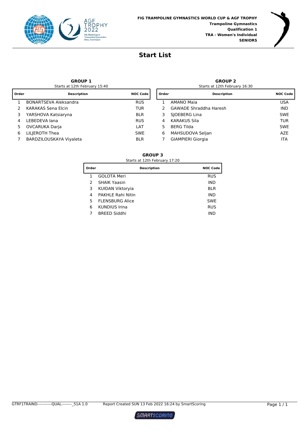



#### **Start List**

#### **GROUP 1**

Starts at 12th February 15:40 Starts at 12th February 16:30

#### **GROUP 2**

| Order | <b>Description</b>           | <b>NOC Code</b> | Order | <b>Description</b>            | <b>NOC Code I</b> |
|-------|------------------------------|-----------------|-------|-------------------------------|-------------------|
|       | <b>BONARTSEVA Aleksandra</b> | <b>RUS</b>      |       | AMANO Maia                    | <b>USA</b>        |
|       | KARAKAS Sena Elcin           | TUR             |       | <b>GAWADE Shraddha Haresh</b> | <b>IND</b>        |
|       | YARSHOVA Katsiaryna          | <b>BLR</b>      |       | SIOEBERG Lina                 | <b>SWE</b>        |
| 4     | LEBEDEVA lana                | <b>RUS</b>      | 4     | <b>KARAKUS Sila</b>           | <b>TUR</b>        |
| 5.    | OVCARUKA Darja               | LAT             | 5     | <b>BERG Tilda</b>             | <b>SWE</b>        |
| 6     | LILJEROTH Thea               | <b>SWE</b>      | 6     | MAHSUDOVA Seljan              | <b>AZE</b>        |
|       | BARDZILOUSKAYA Viyaleta      | <b>BLR</b>      |       | <b>GIAMPIERI Giorgia</b>      | ITA               |
|       |                              |                 |       |                               |                   |

|       | Starts at 12th February 17:20 |                 |
|-------|-------------------------------|-----------------|
| Order | <b>Description</b>            | <b>NOC Code</b> |
| 1     | GOLOTA Meri                   | <b>RUS</b>      |
| 2     | <b>SHAIK Yaasin</b>           | IND             |
| 3     | KUIDAN Viktoryia              | <b>BLR</b>      |
| 4     | <b>PAKHLE Rahi Nitin</b>      | IND             |
| 5     | <b>FLENSBURG Alice</b>        | <b>SWE</b>      |
| 6     | <b>KUNDIUS Irina</b>          | <b>RUS</b>      |
| 7     | <b>BREED Siddhi</b>           | IND             |

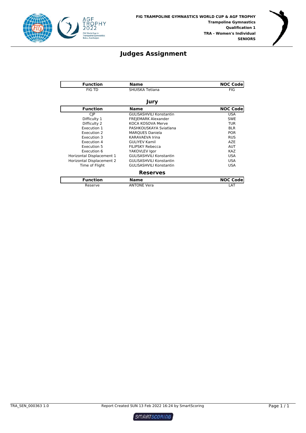



#### **Judges Assignment**

| <b>Function</b>           | <b>Name</b>                    | <b>NOC Code</b> |
|---------------------------|--------------------------------|-----------------|
| <b>FIG TD</b>             | SHUISKA Tetiana                | <b>FIG</b>      |
|                           | Jury                           |                 |
| <b>Function</b>           | <b>Name</b>                    | <b>NOC Code</b> |
| <b>CIP</b>                | <b>GULISASHVILI Konstantin</b> | <b>USA</b>      |
| Difficulty 1              | <b>FREJEMARK Alexander</b>     | <b>SWE</b>      |
| Difficulty 2              | KOCA KOSOVA Merve              | <b>TUR</b>      |
| Execution 1               | PASHKOUSKAYA Sviatlana         | <b>BLR</b>      |
| Execution 2               | <b>MARQUES Daniela</b>         | <b>POR</b>      |
| Execution 3               | <b>KARAVAEVA Irina</b>         | <b>RUS</b>      |
| Execution 4               | <b>GULIYEV Kamil</b>           | <b>AZE</b>      |
| Execution 5               | <b>FILIPSKY Rebecca</b>        | AUT             |
| Execution 6               | YAKOVLEV Igor                  | <b>KAZ</b>      |
| Horizontal Displacement 1 | <b>GULISASHVILI Konstantin</b> | <b>USA</b>      |
| Horizontal Displacement 2 | <b>GULISASHVILI Konstantin</b> | <b>USA</b>      |
| Time of Flight            | <b>GULISASHVILI Konstantin</b> | <b>USA</b>      |
|                           | <b>Reserves</b>                |                 |
| <b>Function</b>           | <b>Name</b>                    | <b>NOC Code</b> |
| Reserve                   | <b>ANTONE Vera</b>             | LAT             |

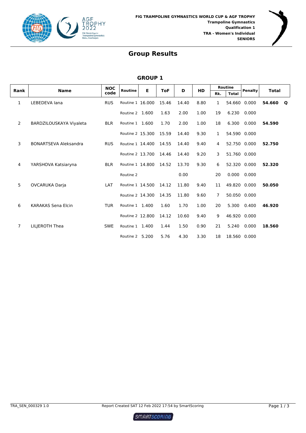



| <b>Rank</b>    | <b>Name</b>                  | <b>NOC</b> | <b>Routine</b>   | Е | <b>ToF</b> | D     | HD   |              | <b>Routine</b> | Penalty      | <b>Total</b> |  |
|----------------|------------------------------|------------|------------------|---|------------|-------|------|--------------|----------------|--------------|--------------|--|
|                |                              | code       |                  |   |            |       |      | Rk.          | <b>Total</b>   |              |              |  |
| $\mathbf{1}$   | LEBEDEVA lana                | <b>RUS</b> | Routine 1 16.000 |   | 15.46      | 14.40 | 8.80 | $\mathbf{1}$ |                | 54.660 0.000 | 54.660 O     |  |
|                |                              |            | Routine 2 1.600  |   | 1.63       | 2.00  | 1.00 | 19           | 6.230          | 0.000        |              |  |
| 2              | BARDZILOUSKAYA Viyaleta      | <b>BLR</b> | Routine 1 1.600  |   | 1.70       | 2.00  | 1.00 | 18           | 6.300          | 0.000        | 54.590       |  |
|                |                              |            | Routine 2 15.300 |   | 15.59      | 14.40 | 9.30 | $\mathbf{1}$ | 54.590 0.000   |              |              |  |
| 3              | <b>BONARTSEVA Aleksandra</b> | <b>RUS</b> | Routine 1 14.400 |   | 14.55      | 14.40 | 9.40 | 4            | 52.750 0.000   |              | 52.750       |  |
|                |                              |            | Routine 2 13.700 |   | 14.46      | 14.40 | 9.20 | 3            | 51.760 0.000   |              |              |  |
| 4              | YARSHOVA Katsiaryna          | <b>BLR</b> | Routine 1 14.800 |   | 14.52      | 13.70 | 9.30 | 6            |                | 52.320 0.000 | 52.320       |  |
|                |                              |            | Routine 2        |   |            | 0.00  |      | 20           | 0.000          | 0.000        |              |  |
| 5              | OVCARUKA Darja               | LAT        | Routine 1 14.500 |   | 14.12      | 11.80 | 9.40 | 11           | 49.820 0.000   |              | 50.050       |  |
|                |                              |            | Routine 2 14.300 |   | 14.35      | 11.80 | 9.60 | 7            | 50.050 0.000   |              |              |  |
| 6              | <b>KARAKAS Sena Flcin</b>    | <b>TUR</b> | Routine 1 1.400  |   | 1.60       | 1.70  | 1.00 | 20           | 5.300          | 0.400        | 46.920       |  |
|                |                              |            | Routine 2 12.800 |   | 14.12      | 10.60 | 9.40 | 9            | 46.920 0.000   |              |              |  |
| $\overline{7}$ | LILJEROTH Thea               | <b>SWE</b> | Routine 1 1.400  |   | 1.44       | 1.50  | 0.90 | 21           | 5.240          | 0.000        | 18.560       |  |
|                |                              |            | Routine 2 5.200  |   | 5.76       | 4.30  | 3.30 | 18           | 18.560 0.000   |              |              |  |

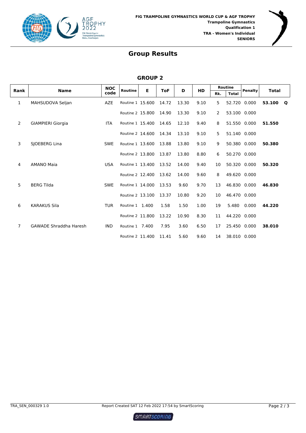



|                |                               | <b>NOC</b> |                  |   |            |       |      |     | <b>Routine</b> |                |              |  |
|----------------|-------------------------------|------------|------------------|---|------------|-------|------|-----|----------------|----------------|--------------|--|
| Rank           | <b>Name</b>                   | code       | <b>Routine</b>   | Е | <b>ToF</b> | D     | HD   | Rk. | <b>Total</b>   | <b>Penalty</b> | <b>Total</b> |  |
| $\mathbf{1}$   | MAHSUDOVA Seljan              | AZE        | Routine 1 15.600 |   | 14.72      | 13.30 | 9.10 | 5   | 52.720 0.000   |                | 53.100 Q     |  |
|                |                               |            | Routine 2 15,800 |   | 14.90      | 13.30 | 9.10 | 2   | 53.100 0.000   |                |              |  |
| 2              | <b>GIAMPIERI Giorgia</b>      | ITA        | Routine 1 15.400 |   | 14.65      | 12.10 | 9.40 | 8   | 51.550 0.000   |                | 51.550       |  |
|                |                               |            | Routine 2 14.600 |   | 14.34      | 13.10 | 9.10 | 5   | 51.140 0.000   |                |              |  |
| 3              | SJOEBERG Lina                 | <b>SWE</b> | Routine 1 13.600 |   | 13.88      | 13.80 | 9.10 | 9   |                | 50.380 0.000   | 50.380       |  |
|                |                               |            | Routine 2 13.800 |   | 13.87      | 13.80 | 8.80 | 6   | 50.270 0.000   |                |              |  |
| 4              | <b>AMANO Maia</b>             | <b>USA</b> | Routine 1 13.400 |   | 13.52      | 14.00 | 9.40 | 10  | 50.320 0.000   |                | 50.320       |  |
|                |                               |            | Routine 2 12.400 |   | 13.62      | 14.00 | 9.60 | 8   | 49.620 0.000   |                |              |  |
| 5              | <b>BERG Tilda</b>             | <b>SWE</b> | Routine 1 14.000 |   | 13.53      | 9.60  | 9.70 | 13  | 46.830 0.000   |                | 46.830       |  |
|                |                               |            | Routine 2 13.100 |   | 13.37      | 10.80 | 9.20 | 10  | 46.470 0.000   |                |              |  |
| 6              | <b>KARAKUS Sila</b>           | <b>TUR</b> | Routine 1 1.400  |   | 1.58       | 1.50  | 1.00 | 19  | 5.480          | 0.000          | 44.220       |  |
|                |                               |            | Routine 2 11.800 |   | 13.22      | 10.90 | 8.30 | 11  | 44.220 0.000   |                |              |  |
| $\overline{7}$ | <b>GAWADE Shraddha Haresh</b> | <b>IND</b> | Routine 1 7.400  |   | 7.95       | 3.60  | 6.50 | 17  | 25.450 0.000   |                | 38.010       |  |
|                |                               |            | Routine 2 11.400 |   | 11.41      | 5.60  | 9.60 | 14  | 38.010 0.000   |                |              |  |

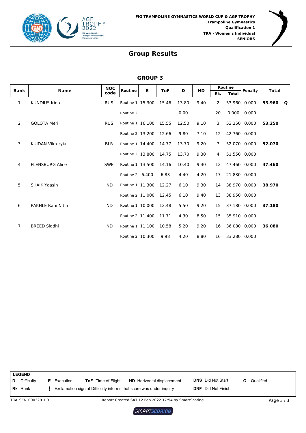



|                |                          | <b>NOC</b> |                  |   |            |       |           |                | <b>Routine</b> |                |              |  |
|----------------|--------------------------|------------|------------------|---|------------|-------|-----------|----------------|----------------|----------------|--------------|--|
| Rank           | <b>Name</b>              | code       | <b>Routine</b>   | Е | <b>ToF</b> | D     | <b>HD</b> | Rk.            | <b>Total</b>   | <b>Penalty</b> | <b>Total</b> |  |
| 1              | <b>KUNDIUS Irina</b>     | <b>RUS</b> | Routine 1 15.300 |   | 15.46      | 13.80 | 9.40      | 2              | 53.960         | 0.000          | 53.960 Q     |  |
|                |                          |            | Routine 2        |   |            | 0.00  |           | 20             | 0.000          | 0.000          |              |  |
| $\overline{2}$ | <b>GOLOTA Meri</b>       | <b>RUS</b> | Routine 1 16.100 |   | 15.55      | 12.50 | 9.10      | 3              |                | 53.250 0.000   | 53.250       |  |
|                |                          |            | Routine 2 13.200 |   | 12.66      | 9.80  | 7.10      | 12             | 42.760 0.000   |                |              |  |
| 3              | KUIDAN Viktoryia         | <b>BLR</b> | Routine 1 14.400 |   | 14.77      | 13.70 | 9.20      | $\overline{7}$ | 52.070 0.000   |                | 52.070       |  |
|                |                          |            | Routine 2 13.800 |   | 14.75      | 13.70 | 9.30      | 4              | 51.550 0.000   |                |              |  |
| 4              | <b>FLENSBURG Alice</b>   | <b>SWE</b> | Routine 1 13.500 |   | 14.16      | 10.40 | 9.40      | 12             | 47.460 0.000   |                | 47.460       |  |
|                |                          |            | Routine 2 6.400  |   | 6.83       | 4.40  | 4.20      | 17             | 21.830 0.000   |                |              |  |
| 5              | <b>SHAIK Yaasin</b>      | <b>IND</b> | Routine 1 11.300 |   | 12.27      | 6.10  | 9.30      | 14             | 38.970 0.000   |                | 38.970       |  |
|                |                          |            | Routine 2 11.000 |   | 12.45      | 6.10  | 9.40      | 13             | 38.950 0.000   |                |              |  |
| 6              | <b>PAKHLE Rahi Nitin</b> | <b>IND</b> | Routine 1 10.000 |   | 12.48      | 5.50  | 9.20      | 15             | 37.180 0.000   |                | 37.180       |  |
|                |                          |            | Routine 2 11.400 |   | 11.71      | 4.30  | 8.50      | 15             | 35.910 0.000   |                |              |  |
| 7              | <b>BREED Siddhi</b>      | <b>IND</b> | Routine 1 11.100 |   | 10.58      | 5.20  | 9.20      | 16             | 36.080 0.000   |                | 36.080       |  |
|                |                          |            | Routine 2 10.300 |   | 9.98       | 4.20  | 8.80      | 16             | 33.280 0.000   |                |              |  |

|   | <b>LEGEND</b>      |                    |                           |                                                                     |                           |           |          |
|---|--------------------|--------------------|---------------------------|---------------------------------------------------------------------|---------------------------|-----------|----------|
| D | <b>Difficulty</b>  | <b>E</b> Execution | <b>ToF</b> Time of Flight | <b>HD</b> Horizontal displacement                                   | <b>DNS</b> Did Not Start  | Qualified |          |
|   | <b>Rk</b> Rank     |                    |                           | Exclamation sign at Difficulty informs that score was under inquiry | <b>DNF</b> Did Not Finish |           |          |
|   | TRA SEN 000329 1.0 |                    |                           | Report Created SAT 12 Feb 2022 17:54 by SmartScoring                |                           |           | Page 3/3 |

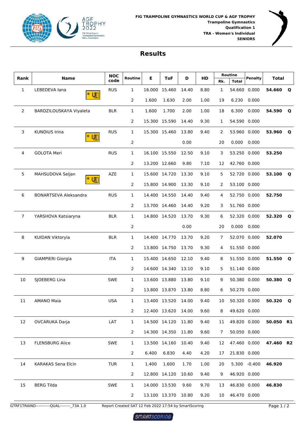



| Rank | <b>Name</b>                  | <b>NOC</b><br>code | <b>Routine</b> | Е     | <b>ToF</b>          | D     | HD   | Rk. | Routine<br><b>Total</b> | <b>Penalty</b> | <b>Total</b> |             |
|------|------------------------------|--------------------|----------------|-------|---------------------|-------|------|-----|-------------------------|----------------|--------------|-------------|
| 1    | LEBEDEVA lana                | <b>RUS</b>         | $\mathbf{1}$   |       | 16.000 15.460       | 14.40 | 8.80 | 1   | 54.660                  | 0.000          | 54.660       | $\mathbf Q$ |
|      | Õ¦Æ                          |                    | $\overline{2}$ | 1.600 | 1.630               | 2.00  | 1.00 | 19  | 6.230                   | 0.000          |              |             |
| 2    | BARDZILOUSKAYA Viyaleta      | <b>BLR</b>         | $\mathbf{1}$   | 1.600 | 1.700               | 2.00  | 1.00 | 18  | 6.300                   | 0.000          | 54.590       | Q           |
|      |                              |                    | $\overline{2}$ |       | 15.300 15.590       | 14.40 | 9.30 | 1   | 54.590 0.000            |                |              |             |
| 3    | <b>KUNDIUS Irina</b>         | <b>RUS</b>         | $\mathbf{1}$   |       | 15.300 15.460       | 13.80 | 9.40 | 2   | 53.960 0.000            |                | 53.960       | $\mathbf Q$ |
|      | <b>O</b> ¦ÁH                 |                    | 2              |       |                     | 0.00  |      | 20  | 0.000                   | 0.000          |              |             |
| 4    | <b>GOLOTA Meri</b>           | <b>RUS</b>         | $\mathbf{1}$   |       | 16.100 15.550       | 12.50 | 9.10 | 3   | 53.250 0.000            |                | 53.250       |             |
|      |                              |                    | 2              |       | 13.200 12.660       | 9.80  | 7.10 | 12  | 42.760 0.000            |                |              |             |
| 5    | MAHSUDOVA Seljan             | AZE                | $\mathbf{1}$   |       | 15.600 14.720       | 13.30 | 9.10 | 5   | 52.720 0.000            |                | 53.100       | $\mathbf Q$ |
|      | O¦Æ                          |                    | 2              |       | 15.800 14.900       | 13.30 | 9.10 | 2   | 53.100 0.000            |                |              |             |
| 6    | <b>BONARTSEVA Aleksandra</b> | <b>RUS</b>         | 1              |       | 14.400 14.550       | 14.40 | 9.40 | 4   | 52.750 0.000            |                | 52.750       |             |
|      |                              |                    | 2              |       | 13.700 14.460       | 14.40 | 9.20 | 3   | 51.760 0.000            |                |              |             |
| 7    | YARSHOVA Katsiaryna          | <b>BLR</b>         | $\mathbf{1}$   |       | 14.800 14.520       | 13.70 | 9.30 | 6   | 52.320 0.000            |                | 52.320       | $\mathbf Q$ |
|      |                              |                    | $\overline{2}$ |       |                     | 0.00  |      | 20  | 0.000                   | 0.000          |              |             |
| 8    | KUIDAN Viktoryia             | <b>BLR</b>         | 1              |       | 14.400 14.770       | 13.70 | 9.20 | 7   | 52.070 0.000            |                | 52.070       |             |
|      |                              |                    | $\overline{2}$ |       | 13.800 14.750       | 13.70 | 9.30 | 4   | 51.550 0.000            |                |              |             |
| 9    | <b>GIAMPIERI Giorgia</b>     | <b>ITA</b>         | $\mathbf{1}$   |       | 15.400 14.650       | 12.10 | 9.40 | 8   | 51.550 0.000            |                | 51.550       | $\mathbf Q$ |
|      |                              |                    | 2              |       | 14.600 14.340       | 13.10 | 9.10 | 5   | 51.140 0.000            |                |              |             |
| 10   | SJOEBERG Lina                | <b>SWE</b>         | $\mathbf{1}$   |       | 13.600 13.880       | 13.80 | 9.10 | 9   | 50.380 0.000            |                | 50.380       | $\mathbf Q$ |
|      |                              |                    | 2              |       | 13.800 13.870       | 13.80 | 8.80 | 6   | 50.270 0.000            |                |              |             |
| 11   | <b>AMANO Maia</b>            | USA                | $\mathbf{1}$   |       | 13.400 13.520 14.00 |       | 9.40 | 10  |                         | 50.320 0.000   | 50.320 Q     |             |
|      |                              |                    | 2              |       | 12.400 13.620 14.00 |       | 9.60 | 8   | 49.620 0.000            |                |              |             |
| 12   | OVCARUKA Darja               | LAT                | $\mathbf{1}$   |       | 14.500 14.120 11.80 |       | 9.40 | 11  |                         | 49.820 0.000   | 50.050 R1    |             |
|      |                              |                    | 2              |       | 14.300 14.350 11.80 |       | 9.60 | 7   | 50.050 0.000            |                |              |             |
| 13   | <b>FLENSBURG Alice</b>       | SWE                | $\mathbf{1}$   |       | 13.500 14.160 10.40 |       | 9.40 | 12  | 47.460 0.000            |                | 47.460 R2    |             |
|      |                              |                    | $\overline{2}$ | 6.400 | 6.830               | 4.40  | 4.20 | 17  | 21.830 0.000            |                |              |             |
| 14   | KARAKAS Sena Elcin           | <b>TUR</b>         | $\mathbf{1}$   | 1.400 | 1.600               | 1.70  | 1.00 | 20  |                         | 5.300 -0.400   | 46.920       |             |
|      |                              |                    | $\overline{2}$ |       | 12.800 14.120       | 10.60 | 9.40 | 9   | 46.920 0.000            |                |              |             |
| 15   | <b>BERG Tilda</b>            | SWE                | $\mathbf{1}$   |       | 14.000 13.530       | 9.60  | 9.70 | 13  | 46.830 0.000            |                | 46.830       |             |
|      |                              |                    | $\overline{2}$ |       | 13.100 13.370 10.80 |       | 9.20 | 10  | 46.470 0.000            |                |              |             |

GTRF1TRAIND-----------QUAL--------\_73A 1.0 Report Created SAT 12 Feb 2022 17:54 by SmartScoring Page 1 / 2

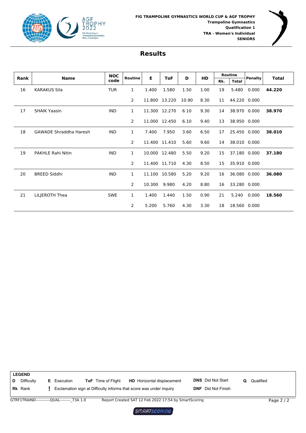



| Rank | <b>Name</b>                   | <b>NOC</b> | Routine        | Е      | <b>ToF</b>    | D     | <b>HD</b> |     | <b>Routine</b> | Penalty      | <b>Total</b> |
|------|-------------------------------|------------|----------------|--------|---------------|-------|-----------|-----|----------------|--------------|--------------|
|      |                               | code       |                |        |               |       |           | Rk. | Total          |              |              |
| 16   | <b>KARAKUS Sila</b>           | <b>TUR</b> | $\mathbf{1}$   | 1.400  | 1.580         | 1.50  | 1.00      | 19  | 5.480          | 0.000        | 44.220       |
|      |                               |            | $\overline{2}$ |        | 11.800 13.220 | 10.90 | 8.30      | 11  | 44.220 0.000   |              |              |
| 17   | <b>SHAIK Yaasin</b>           | <b>IND</b> | $\mathbf{1}$   |        | 11.300 12.270 | 6.10  | 9.30      | 14  |                | 38.970 0.000 | 38.970       |
|      |                               |            | 2              |        | 11.000 12.450 | 6.10  | 9.40      | 13  | 38.950 0.000   |              |              |
| 18   | <b>GAWADE Shraddha Haresh</b> | <b>IND</b> | $\mathbf{1}$   | 7.400  | 7.950         | 3.60  | 6.50      | 17  | 25.450         | 0.000        | 38.010       |
|      |                               |            | 2              |        | 11.400 11.410 | 5.60  | 9.60      | 14  | 38.010 0.000   |              |              |
| 19   | <b>PAKHLE Rahi Nitin</b>      | <b>IND</b> | $\mathbf{1}$   |        | 10.000 12.480 | 5.50  | 9.20      | 15  | 37.180         | 0.000        | 37.180       |
|      |                               |            | 2              |        | 11.400 11.710 | 4.30  | 8.50      | 15  | 35.910 0.000   |              |              |
| 20   | <b>BREED Siddhi</b>           | <b>IND</b> | 1              |        | 11.100 10.580 | 5.20  | 9.20      | 16  |                | 36.080 0.000 | 36.080       |
|      |                               |            | 2              | 10.300 | 9.980         | 4.20  | 8.80      | 16  | 33.280 0.000   |              |              |
| 21   | LILJEROTH Thea                | <b>SWE</b> | $\mathbf{1}$   | 1.400  | 1.440         | 1.50  | 0.90      | 21  | 5.240          | 0.000        | 18.560       |
|      |                               |            | 2              | 5.200  | 5.760         | 4.30  | 3.30      | 18  | 18.560 0.000   |              |              |

| <b>LEGEND</b>     |                                                                                                     |                           |                |
|-------------------|-----------------------------------------------------------------------------------------------------|---------------------------|----------------|
| <b>Difficulty</b> | <b>HD</b> Horizontal displacement<br><b>ToF</b> Time of Flight<br><b>E</b> Execution                | <b>DNS</b> Did Not Start  | Qualified<br>O |
| <b>Rk</b> Rank    | Exclamation sign at Difficulty informs that score was under inquiry                                 | <b>DNF</b> Did Not Finish |                |
|                   | Report Created SAT 12 Feb 2022 17:54 by SmartScoring<br>GTRF1TRAIND------------QUAL-------- 73A 1.0 |                           | Page $2/2$     |

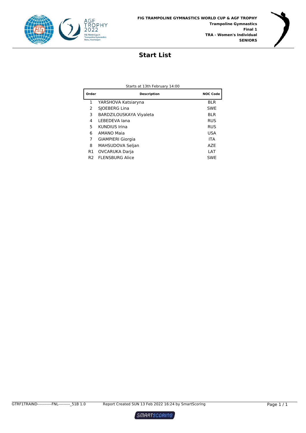

L



#### **Start List**

|  | Starts at 13th February 14:00 |  |
|--|-------------------------------|--|
|  |                               |  |

| Order          | <b>Description</b>       | <b>NOC Code</b> |
|----------------|--------------------------|-----------------|
| 1              | YARSHOVA Katsiaryna      | <b>BLR</b>      |
| 2              | SJOEBERG Lina            | <b>SWE</b>      |
| 3              | BARDZILOUSKAYA Viyaleta  | <b>BLR</b>      |
| 4              | LEBEDEVA lana            | <b>RUS</b>      |
| 5              | <b>KUNDIUS Irina</b>     | <b>RUS</b>      |
| 6              | <b>AMANO Maia</b>        | USA             |
| 7              | <b>GIAMPIERI Giorgia</b> | <b>ITA</b>      |
| 8              | MAHSUDOVA Seljan         | A7F             |
| R1             | OVCARUKA Darja           | LAT             |
| R <sub>2</sub> | <b>FLENSBURG Alice</b>   | <b>SWE</b>      |

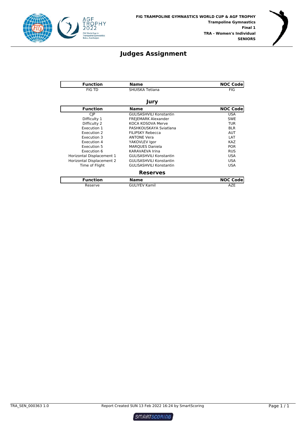



#### **Judges Assignment**

| <b>Function</b>           | <b>Name</b>                    | <b>NOC Code</b> |
|---------------------------|--------------------------------|-----------------|
| <b>FIG TD</b>             | SHUISKA Tetiana                | <b>FIG</b>      |
|                           | Jury                           |                 |
| <b>Function</b>           | <b>Name</b>                    | <b>NOC Code</b> |
| $C$ $P$                   | <b>GULISASHVILI Konstantin</b> | <b>USA</b>      |
| Difficulty 1              | <b>FREJEMARK Alexander</b>     | <b>SWE</b>      |
| Difficulty 2              | KOCA KOSOVA Merve              | <b>TUR</b>      |
| Execution 1               | PASHKOUSKAYA Sviatlana         | <b>BLR</b>      |
| Execution 2               | <b>FILIPSKY Rebecca</b>        | <b>AUT</b>      |
| Execution 3               | <b>ANTONE Vera</b>             | LAT             |
| Execution 4               | YAKOVLEV Igor                  | <b>KAZ</b>      |
| Execution 5               | <b>MARQUES Daniela</b>         | <b>POR</b>      |
| Execution 6               | <b>KARAVAEVA Irina</b>         | <b>RUS</b>      |
| Horizontal Displacement 1 | <b>GULISASHVILI Konstantin</b> | <b>USA</b>      |
| Horizontal Displacement 2 | <b>GULISASHVILI Konstantin</b> | <b>USA</b>      |
| Time of Flight            | <b>GULISASHVILI Konstantin</b> | <b>USA</b>      |
|                           | <b>Reserves</b>                |                 |
| <b>Function</b>           | <b>Name</b>                    | <b>NOC Code</b> |
| Reserve                   | <b>GULIYEV Kamil</b>           | AZE             |

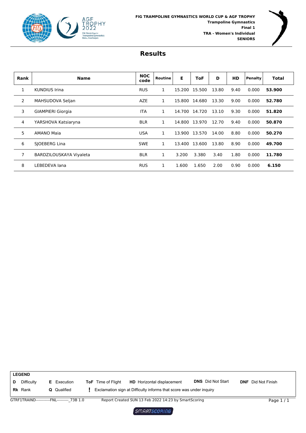



| <b>Rank</b>    | <b>Name</b>              | <b>NOC</b><br>code | Routine      | Е      | <b>ToF</b> | D     | <b>HD</b> | Penalty | Total  |
|----------------|--------------------------|--------------------|--------------|--------|------------|-------|-----------|---------|--------|
| 1              | <b>KUNDIUS Irina</b>     | <b>RUS</b>         | $\mathbf{1}$ | 15.200 | 15.500     | 13.80 | 9.40      | 0.000   | 53.900 |
| $\overline{2}$ | MAHSUDOVA Seljan         | <b>AZE</b>         | 1            | 15.800 | 14.680     | 13.30 | 9.00      | 0.000   | 52.780 |
| 3              | <b>GIAMPIERI Giorgia</b> | <b>ITA</b>         | 1            | 14.700 | 14.720     | 13.10 | 9.30      | 0.000   | 51.820 |
| 4              | YARSHOVA Katsiaryna      | <b>BLR</b>         | 1            | 14.800 | 13.970     | 12.70 | 9.40      | 0.000   | 50.870 |
| 5              | <b>AMANO Maia</b>        | <b>USA</b>         | 1            | 13.900 | 13.570     | 14.00 | 8.80      | 0.000   | 50.270 |
| 6              | SIOEBERG Lina            | <b>SWE</b>         | 1            | 13.400 | 13.600     | 13.80 | 8.90      | 0.000   | 49.700 |
| $\overline{7}$ | BARDZILOUSKAYA Viyaleta  | <b>BLR</b>         | 1            | 3.200  | 3.380      | 3.40  | 1.80      | 0.000   | 11.780 |
| 8              | LEBEDEVA lana            | <b>RUS</b>         | 1            | 1.600  | 1.650      | 2.00  | 0.90      | 0.000   | 6.150  |

|   | <b>LEGEND</b>  |                                            |                           |                                                                     |                          |                           |  |
|---|----------------|--------------------------------------------|---------------------------|---------------------------------------------------------------------|--------------------------|---------------------------|--|
| D | Difficulty     | <b>E</b> Execution                         | <b>ToF</b> Time of Flight | <b>HD</b> Horizontal displacement                                   | <b>DNS</b> Did Not Start | <b>DNF</b> Did Not Finish |  |
|   | <b>Rk</b> Rank | <b>Q</b> Qualified                         |                           | Exclamation sign at Difficulty informs that score was under inquiry |                          |                           |  |
|   |                | GTRF1TRAIND-----------FNL--------- 73B 1.0 |                           | Report Created SUN 13 Feb 2022 14:23 by SmartScoring                |                          | Page $1/1$                |  |

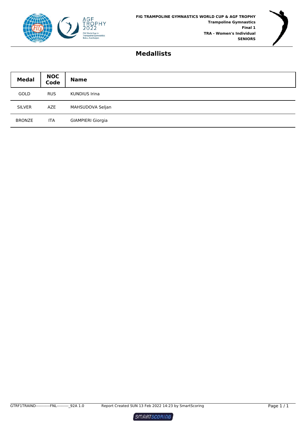



#### **Medallists**

| <b>Medal</b>  | <b>NOC</b><br>Code | <b>Name</b>              |
|---------------|--------------------|--------------------------|
| <b>GOLD</b>   | <b>RUS</b>         | <b>KUNDIUS Irina</b>     |
| <b>SILVER</b> | AZE                | MAHSUDOVA Seljan         |
| <b>BRONZE</b> | ITA                | <b>GIAMPIERI Giorgia</b> |

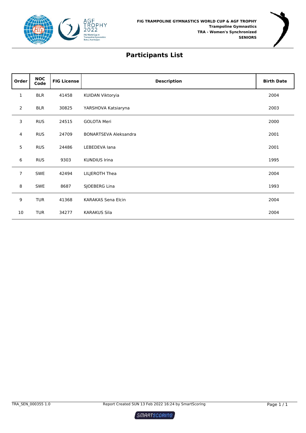



### **Participants List**

| Order          | <b>NOC</b><br>Code | <b>FIG License</b> | <b>Description</b>           | <b>Birth Date</b> |
|----------------|--------------------|--------------------|------------------------------|-------------------|
| 1              | <b>BLR</b>         | 41458              | KUIDAN Viktoryia             | 2004              |
| 2              | <b>BLR</b>         | 30825              | YARSHOVA Katsiaryna          | 2003              |
| 3              | <b>RUS</b>         | 24515              | <b>GOLOTA Meri</b>           | 2000              |
| $\overline{4}$ | <b>RUS</b>         | 24709              | <b>BONARTSEVA Aleksandra</b> | 2001              |
| $5\phantom{.}$ | <b>RUS</b>         | 24486              | LEBEDEVA lana                | 2001              |
| 6              | <b>RUS</b>         | 9303               | <b>KUNDIUS Irina</b>         | 1995              |
| $\overline{7}$ | SWE                | 42494              | LILJEROTH Thea               | 2004              |
| 8              | SWE                | 8687               | SJOEBERG Lina                | 1993              |
| 9              | <b>TUR</b>         | 41368              | <b>KARAKAS Sena Elcin</b>    | 2004              |
| 10             | <b>TUR</b>         | 34277              | <b>KARAKUS Sila</b>          | 2004              |

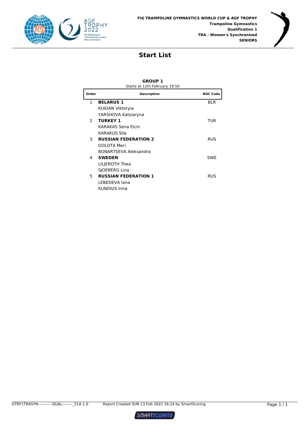



#### **Start List**

|               | <b>GROUP 1</b><br>Starts at 12th February 19:50 |                 |
|---------------|-------------------------------------------------|-----------------|
| Order         | <b>Description</b>                              | <b>NOC Code</b> |
| 1             | <b>BELARUS 1</b>                                | BI R            |
|               | KUIDAN Viktoryia                                |                 |
|               | YARSHOVA Katsiaryna                             |                 |
| $\mathcal{P}$ | <b>TURKEY 1</b>                                 | TUR             |
|               | KARAKAS Sena Elcin                              |                 |
|               | KARAKUS Sila                                    |                 |
| 3             | <b>RUSSIAN FEDERATION 2</b>                     | <b>RUS</b>      |
|               | <b>GOLOTA Meri</b>                              |                 |
|               | <b>BONARTSEVA Aleksandra</b>                    |                 |
| 4             | <b>SWEDEN</b>                                   | <b>SWF</b>      |
|               | LILJEROTH Thea                                  |                 |
|               | SJOEBERG Lina                                   |                 |
| 5.            | <b>RUSSIAN FEDERATION 1</b>                     | <b>RUS</b>      |
|               | LEBEDEVA lana                                   |                 |
|               | KUNDIUS Irina                                   |                 |

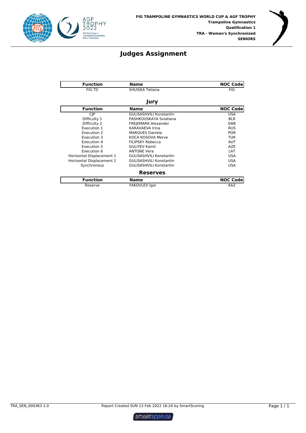



#### **Judges Assignment**

| <b>Function</b>           | <b>Name</b>                    | <b>NOC Code</b> |  |  |  |  |
|---------------------------|--------------------------------|-----------------|--|--|--|--|
| <b>FIG TD</b>             | SHUISKA Tetiana                | <b>FIG</b>      |  |  |  |  |
|                           | Jury                           |                 |  |  |  |  |
| <b>Function</b>           | <b>Name</b>                    | <b>NOC Code</b> |  |  |  |  |
| <b>CIP</b>                | <b>GULISASHVILI Konstantin</b> | <b>USA</b>      |  |  |  |  |
| Difficulty 1              | PASHKOUSKAYA Sviatlana         | <b>BLR</b>      |  |  |  |  |
| Difficulty 2              | <b>FREJEMARK Alexander</b>     | <b>SWE</b>      |  |  |  |  |
| Execution 1               | <b>KARAVAEVA Irina</b>         | <b>RUS</b>      |  |  |  |  |
| Execution 2               | <b>MARQUES Daniela</b>         | <b>POR</b>      |  |  |  |  |
| Execution 3               | KOCA KOSOVA Merve              | <b>TUR</b>      |  |  |  |  |
| Execution 4               | <b>FILIPSKY Rebecca</b>        | <b>AUT</b>      |  |  |  |  |
| Execution 5               | <b>GULIYEV Kamil</b>           | <b>AZE</b>      |  |  |  |  |
| Execution 6               | <b>ANTONE Vera</b>             | LAT             |  |  |  |  |
| Horizontal Displacement 1 | <b>GULISASHVILI Konstantin</b> | <b>USA</b>      |  |  |  |  |
| Horizontal Displacement 2 | <b>GULISASHVILI Konstantin</b> | <b>USA</b>      |  |  |  |  |
| Synchronous               | <b>GULISASHVILI Konstantin</b> | <b>USA</b>      |  |  |  |  |
|                           | <b>Reserves</b>                |                 |  |  |  |  |
| <b>Function</b>           | <b>Name</b>                    | <b>NOC Code</b> |  |  |  |  |
| Reserve                   | YAKOVLEV Igor                  | KAZ             |  |  |  |  |

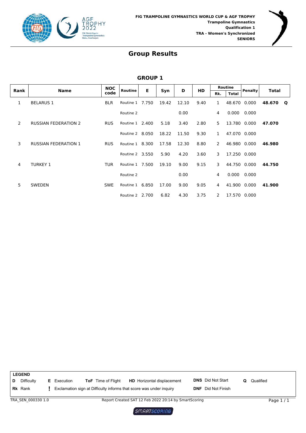



| Rank | <b>Name</b>                 | <b>NOC</b> | Routine         | E.    |       | D     | <b>HD</b> |     | Routine      | <b>Penalty</b> | <b>Total</b> |          |
|------|-----------------------------|------------|-----------------|-------|-------|-------|-----------|-----|--------------|----------------|--------------|----------|
|      |                             | code       |                 |       | Syn   |       |           | Rk. | <b>Total</b> |                |              |          |
| 1    | <b>BELARUS 1</b>            | <b>BLR</b> | Routine 1       | 7.750 | 19.42 | 12.10 | 9.40      | 1   | 48.670       | 0.000          | 48.670       | <b>Q</b> |
|      |                             |            | Routine 2       |       |       | 0.00  |           | 4   | 0.000        | 0.000          |              |          |
| 2    | <b>RUSSIAN FEDERATION 2</b> | <b>RUS</b> | Routine 1 2.400 |       | 5.18  | 3.40  | 2.80      | 5   | 13.780       | 0.000          | 47.070       |          |
|      |                             |            | Routine 2 8.050 |       | 18.22 | 11.50 | 9.30      | 1   | 47.070       | 0.000          |              |          |
| 3    | <b>RUSSIAN FEDERATION 1</b> | <b>RUS</b> | Routine 1 8.300 |       | 17.58 | 12.30 | 8.80      | 2   | 46.980       | 0.000          | 46.980       |          |
|      |                             |            | Routine 2 3.550 |       | 5.90  | 4.20  | 3.60      | 3   | 17.250 0.000 |                |              |          |
| 4    | <b>TURKEY 1</b>             | <b>TUR</b> | Routine 1 7.500 |       | 19.10 | 9.00  | 9.15      | 3   | 44.750       | 0.000          | 44.750       |          |
|      |                             |            | Routine 2       |       |       | 0.00  |           | 4   | 0.000        | 0.000          |              |          |
| 5.   | <b>SWEDEN</b>               | <b>SWE</b> | Routine 1       | 6.850 | 17.00 | 9.00  | 9.05      | 4   | 41.900       | 0.000          | 41.900       |          |
|      |                             |            | Routine 2 2.700 |       | 6.82  | 4.30  | 3.75      | 2   | 17.570       | 0.000          |              |          |

|   | <b>LEGEND</b>      |                    |                           |                                                                     |                           |   |            |
|---|--------------------|--------------------|---------------------------|---------------------------------------------------------------------|---------------------------|---|------------|
| D | Difficulty         | <b>E</b> Execution | <b>ToF</b> Time of Flight | <b>HD</b> Horizontal displacement                                   | <b>DNS</b> Did Not Start  | O | Qualified  |
|   | <b>Rk</b> Rank     |                    |                           | Exclamation sign at Difficulty informs that score was under inquiry | <b>DNF</b> Did Not Finish |   |            |
|   | TRA SEN 000330 1.0 |                    |                           | Report Created SAT 12 Feb 2022 20:14 by SmartScoring                |                           |   | Page $1/1$ |

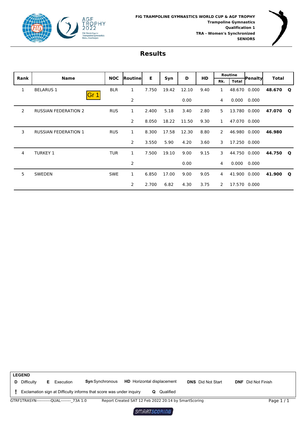



|      | <b>Name</b>                 | <b>NOC</b> | <b>Routinel</b> | Е     |       | D     | <b>HD</b> |     | Routine      | Penaltyl     | <b>Total</b> |              |
|------|-----------------------------|------------|-----------------|-------|-------|-------|-----------|-----|--------------|--------------|--------------|--------------|
| Rank |                             |            |                 |       | Syn   |       |           | Rk. | <b>Total</b> |              |              |              |
| 1    | <b>BELARUS 1</b><br>Gr 1    | <b>BLR</b> | 1               | 7.750 | 19.42 | 12.10 | 9.40      | 1   | 48.670       | 0.000        | 48.670       | $\mathbf{o}$ |
|      |                             |            | 2               |       |       | 0.00  |           | 4   | 0.000        | 0.000        |              |              |
| 2    | <b>RUSSIAN FEDERATION 2</b> | <b>RUS</b> | 1               | 2.400 | 5.18  | 3.40  | 2.80      | 5   | 13.780       | 0.000        | 47.070       | $\mathbf{o}$ |
|      |                             |            | $\overline{2}$  | 8.050 | 18.22 | 11.50 | 9.30      | 1   |              | 47.070 0.000 |              |              |
| 3    | <b>RUSSIAN FEDERATION 1</b> | <b>RUS</b> | 1               | 8.300 | 17.58 | 12.30 | 8.80      | 2   | 46.980       | 0.000        | 46.980       |              |
|      |                             |            | 2               | 3.550 | 5.90  | 4.20  | 3.60      | 3   |              | 17.250 0.000 |              |              |
| 4    | <b>TURKEY 1</b>             | <b>TUR</b> | 1               | 7.500 | 19.10 | 9.00  | 9.15      | 3   | 44.750       | 0.000        | 44.750       | $\mathbf Q$  |
|      |                             |            | 2               |       |       | 0.00  |           | 4   | 0.000        | 0.000        |              |              |
| 5    | SWEDEN                      | <b>SWE</b> | 1               | 6.850 | 17.00 | 9.00  | 9.05      | 4   | 41.900       | 0.000        | 41.900       | $\mathbf{o}$ |
|      |                             |            | 2               | 2.700 | 6.82  | 4.30  | 3.75      | 2   |              | 17.570 0.000 |              |              |

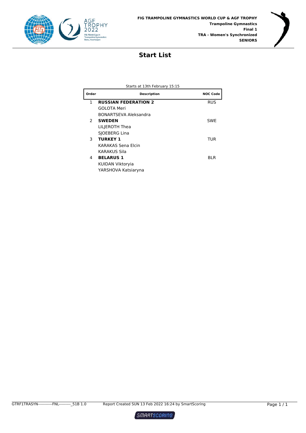



#### **Start List**

| <b>Description</b>          | <b>NOC Code</b> |
|-----------------------------|-----------------|
| <b>RUSSIAN FEDERATION 2</b> | <b>RUS</b>      |
| GOI OTA Meri                |                 |
| BONARTSEVA Aleksandra       |                 |
| <b>SWEDEN</b>               | <b>SWE</b>      |
| LILJEROTH Thea              |                 |
| SIOEBERG Lina               |                 |
| <b>TURKEY 1</b>             | TUR             |
| KARAKAS Sena Elcin          |                 |
| KARAKUS Sila                |                 |
| <b>BELARUS 1</b>            | BLR             |
| KUIDAN Viktoryia            |                 |
| YARSHOVA Katsiaryna         |                 |
|                             |                 |

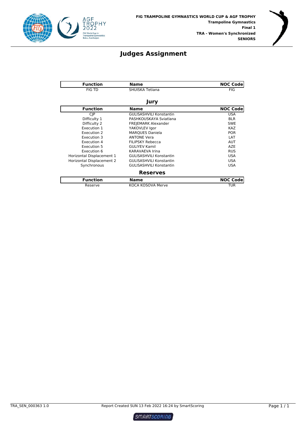



#### **Judges Assignment**

| <b>Function</b>           | <b>Name</b>                    | <b>NOC Code</b> |
|---------------------------|--------------------------------|-----------------|
| <b>FIG TD</b>             | SHUISKA Tetiana                | <b>FIG</b>      |
|                           | Jury                           |                 |
| <b>Function</b>           | <b>Name</b>                    | <b>NOC Code</b> |
| <b>CIP</b>                | <b>GULISASHVILI Konstantin</b> | <b>USA</b>      |
| Difficulty 1              | PASHKOUSKAYA Sviatlana         | <b>BLR</b>      |
| Difficulty 2              | <b>FREJEMARK Alexander</b>     | <b>SWE</b>      |
| Execution 1               | YAKOVLEV Igor                  | <b>KAZ</b>      |
| Execution 2               | <b>MARQUES Daniela</b>         | <b>POR</b>      |
| Execution 3               | <b>ANTONE Vera</b>             | LAT             |
| Execution 4               | <b>FILIPSKY Rebecca</b>        | <b>AUT</b>      |
| Execution 5               | <b>GULIYEV Kamil</b>           | <b>AZE</b>      |
| Execution 6               | <b>KARAVAEVA Irina</b>         | <b>RUS</b>      |
| Horizontal Displacement 1 | <b>GULISASHVILI Konstantin</b> | <b>USA</b>      |
| Horizontal Displacement 2 | <b>GULISASHVILI Konstantin</b> | <b>USA</b>      |
| Synchronous               | <b>GULISASHVILI Konstantin</b> | <b>USA</b>      |
|                           | <b>Reserves</b>                |                 |
| <b>Function</b>           | <b>Name</b>                    | <b>NOC Code</b> |
| Reserve                   | KOCA KOSOVA Merve              | TUR             |

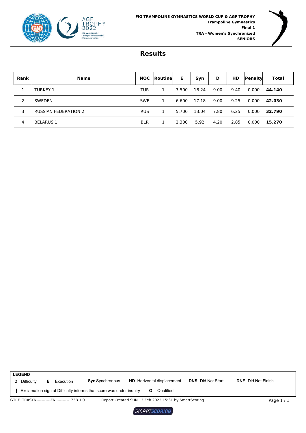



| Rank           | <b>Name</b>                 | <b>NOC</b> | <b>Routinel</b> | Е     | Syn   | D    | HD   | <b>Penaltyl</b> | <b>Total</b> |
|----------------|-----------------------------|------------|-----------------|-------|-------|------|------|-----------------|--------------|
|                | <b>TURKEY 1</b>             | <b>TUR</b> |                 | 7.500 | 18.24 | 9.00 | 9.40 | 0.000           | 44.140       |
| $\overline{2}$ | SWEDEN                      | <b>SWE</b> |                 | 6.600 | 17.18 | 9.00 | 9.25 | 0.000           | 42.030       |
| 3              | <b>RUSSIAN FEDERATION 2</b> | <b>RUS</b> |                 | 5.700 | 13.04 | 7.80 | 6.25 | 0.000           | 32.790       |
| 4              | <b>BELARUS 1</b>            | <b>BLR</b> |                 | 2.300 | 5.92  | 4.20 | 2.85 | 0.000           | 15.270       |



SMARTSCORING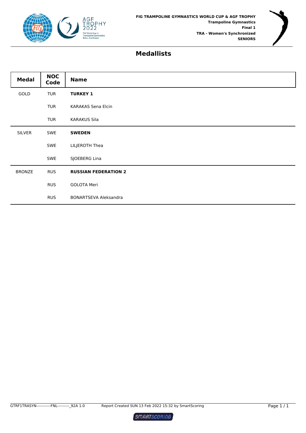



| <b>Medal</b>  | <b>NOC</b><br>Code | <b>Name</b>                  |
|---------------|--------------------|------------------------------|
| GOLD          | TUR                | <b>TURKEY 1</b>              |
|               | <b>TUR</b>         | KARAKAS Sena Elcin           |
|               | <b>TUR</b>         | <b>KARAKUS Sila</b>          |
| <b>SILVER</b> | <b>SWE</b>         | <b>SWEDEN</b>                |
|               | <b>SWE</b>         | LILJEROTH Thea               |
|               | SWE                | SJOEBERG Lina                |
| <b>BRONZE</b> | <b>RUS</b>         | <b>RUSSIAN FEDERATION 2</b>  |
|               | <b>RUS</b>         | <b>GOLOTA Meri</b>           |
|               | <b>RUS</b>         | <b>BONARTSEVA Aleksandra</b> |



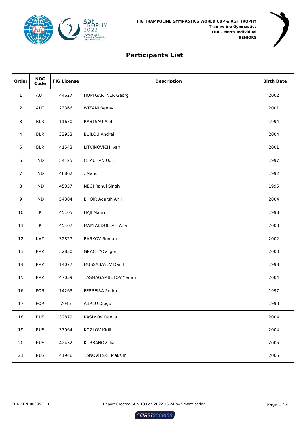



### **Participants List**

| Order          | <b>NOC</b><br>Code                | <b>FIG License</b> | <b>Description</b>       | <b>Birth Date</b> |
|----------------|-----------------------------------|--------------------|--------------------------|-------------------|
| $\mathbf{1}$   | AUT                               | 44627              | <b>HOPFGARTNER Georg</b> | 2002              |
| $\overline{2}$ | AUT                               | 23366              | <b>WIZANI Benny</b>      | 2001              |
| 3              | <b>BLR</b>                        | 11670              | RABTSAU Aleh             | 1994              |
| 4              | <b>BLR</b>                        | 33953              | <b>BUILOU Andrei</b>     | 2004              |
| 5              | <b>BLR</b>                        | 41543              | LITVINOVICH Ivan         | 2001              |
| 6              | IND                               | 54425              | <b>CHAUHAN Udit</b>      | 1997              |
| $\overline{7}$ | <b>IND</b>                        | 46862              | . Manu                   | 1992              |
| $\bf 8$        | <b>IND</b>                        | 45357              | <b>NEGI Rahul Singh</b>  | 1995              |
| 9              | IND                               | 54384              | <b>BHOIR Adarsh Anil</b> | 2004              |
| 10             | $\ensuremath{\mathsf{IR}}\xspace$ | 45105              | <b>HAJI Matin</b>        | 1998              |
| 11             | IRI                               | 45107              | MAM ABDOLLAH Aria        | 2003              |
| 12             | KAZ                               | 32827              | <b>BARKOV Roman</b>      | 2002              |
| 13             | KAZ                               | 32830              | <b>GRACHYOV Igor</b>     | 2000              |
| 14             | KAZ                               | 14077              | MUSSABAYEV Danil         | 1998              |
| 15             | KAZ                               | 47059              | TASMAGAMBETOV Yerlan     | 2004              |
| 16             | POR                               | 14263              | FERREIRA Pedro           | 1997              |
| 17             | POR                               | 7045               | <b>ABREU Diogo</b>       | 1993              |
| 18             | <b>RUS</b>                        | 32879              | KASIMOV Danila           | 2004              |
| 19             | <b>RUS</b>                        | 33064              | KOZLOV Kirill            | 2004              |
| 20             | <b>RUS</b>                        | 42432              | <b>KURBANOV Ilia</b>     | 2005              |
| 21             | <b>RUS</b>                        | 41946              | TANOVITSKII Maksim       | 2005              |

**SMARTSCORING**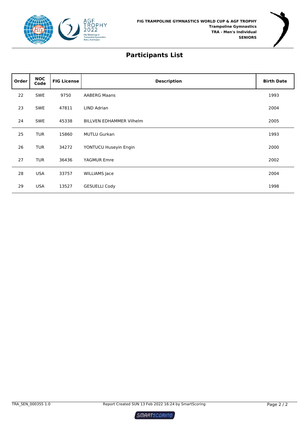



### **Participants List**

| Order | <b>NOC</b><br>Code | <b>FIG License</b> | <b>Description</b>              | <b>Birth Date</b> |
|-------|--------------------|--------------------|---------------------------------|-------------------|
| 22    | <b>SWE</b>         | 9750               | <b>AABERG Maans</b>             | 1993              |
| 23    | <b>SWE</b>         | 47811              | <b>LIND Adrian</b>              | 2004              |
| 24    | <b>SWE</b>         | 45338              | <b>BILLVEN EDHAMMER Vilhelm</b> | 2005              |
| 25    | <b>TUR</b>         | 15860              | <b>MUTLU Gurkan</b>             | 1993              |
| 26    | <b>TUR</b>         | 34272              | YONTUCU Huseyin Engin           | 2000              |
| 27    | <b>TUR</b>         | 36436              | YAGMUR Emre                     | 2002              |
| 28    | <b>USA</b>         | 33757              | <b>WILLIAMS</b> Jace            | 2004              |
| 29    | <b>USA</b>         | 13527              | <b>GESUELLI Cody</b>            | 1998              |

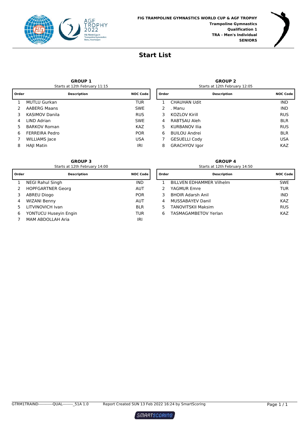



#### **Start List**

| Starts at 12th February 11:1 |  |
|------------------------------|--|
|------------------------------|--|

| Order | <b>Description</b>    | <b>NOC Code</b> | Order | <b>Description</b>   | NOC Co     |
|-------|-----------------------|-----------------|-------|----------------------|------------|
|       | <b>MUTLU Gurkan</b>   | <b>TUR</b>      |       | <b>CHAUHAN Udit</b>  | <b>IND</b> |
|       | AABERG Maans          | <b>SWE</b>      |       | . Manu               | <b>IND</b> |
|       | <b>KASIMOV Danila</b> | <b>RUS</b>      | 3.    | <b>KOZLOV Kirill</b> | <b>RUS</b> |
| 4     | LIND Adrian           | <b>SWE</b>      | 4     | RABTSAU Aleh         | <b>BLR</b> |
|       | <b>BARKOV Roman</b>   | <b>KAZ</b>      | 5.    | KURBANOV Ilia        | <b>RUS</b> |
| 6     | <b>FERREIRA Pedro</b> | <b>POR</b>      | 6     | BUILOU Andrei        | <b>BLR</b> |
|       | <b>WILLIAMS</b> Jace  | <b>USA</b>      |       | <b>GESUELLI Cody</b> | <b>USA</b> |
| 8     | <b>HAII Matin</b>     | IRI             | 8     | <b>GRACHYOV Igor</b> | <b>KAZ</b> |

**GROUP 3**<br>Starts at 12th February 14:00

| <b>Description</b><br>Order | <b>NOC Code</b> |    | <b>Description</b>              | <b>NOC Co</b> |
|-----------------------------|-----------------|----|---------------------------------|---------------|
| <b>NEGI Rahul Singh</b>     | IND.            |    | <b>BILLVEN EDHAMMER Vilhelm</b> | <b>SWE</b>    |
| <b>HOPFGARTNER Georg</b>    | <b>AUT</b>      |    | YAGMUR Emre                     | TUR           |
| <b>ABREU Diogo</b>          | <b>POR</b>      |    | <b>BHOIR Adarsh Anil</b>        | <b>IND</b>    |
| <b>WIZANI Benny</b>         | <b>AUT</b>      | 4  | <b>MUSSABAYEV Danil</b>         | <b>KAZ</b>    |
| LITVINOVICH Ivan            | <b>BLR</b>      | 5. | <b>TANOVITSKII Maksim</b>       | <b>RUS</b>    |
| YONTUCU Huseyin Engin       | <b>TUR</b>      | 6  | <b>TASMAGAMBETOV Yerlan</b>     | <b>KAZ</b>    |
| MAM ABDOLLAH Aria           | IRI             |    |                                 |               |
|                             |                 |    |                                 | Order         |

**GROUP 2**

| 15 |                 | Starts at 12th February 12:05 |                      |                 |  |  |  |  |  |  |  |
|----|-----------------|-------------------------------|----------------------|-----------------|--|--|--|--|--|--|--|
|    | <b>NOC Code</b> | Order                         | <b>Description</b>   | <b>NOC Code</b> |  |  |  |  |  |  |  |
|    | <b>TUR</b>      |                               | <b>CHAUHAN Udit</b>  | <b>IND</b>      |  |  |  |  |  |  |  |
|    | <b>SWE</b>      | $\mathcal{P}$                 | . Manu               | <b>IND</b>      |  |  |  |  |  |  |  |
|    | <b>RUS</b>      | 3                             | <b>KOZLOV Kirill</b> | <b>RUS</b>      |  |  |  |  |  |  |  |
|    | <b>SWE</b>      | 4                             | RABTSAU Aleh         | <b>BLR</b>      |  |  |  |  |  |  |  |
|    | KAZ.            | 5.                            | <b>KURBANOV Ilia</b> | <b>RUS</b>      |  |  |  |  |  |  |  |
|    | <b>POR</b>      | 6                             | <b>BUILOU Andrei</b> | <b>BLR</b>      |  |  |  |  |  |  |  |
|    | <b>USA</b>      | 7                             | <b>GESUELLI Cody</b> | <b>USA</b>      |  |  |  |  |  |  |  |
|    | IRI             | 8                             | <b>GRACHYOV Igor</b> | <b>KAZ</b>      |  |  |  |  |  |  |  |
|    |                 |                               |                      |                 |  |  |  |  |  |  |  |

**GROUP 4** Starts at 12th February 14:50

| <b>Description</b>              | <b>NOC Code</b> |
|---------------------------------|-----------------|
| <b>BILLVEN EDHAMMER Vilhelm</b> | <b>SWE</b>      |
| YAGMUR Emre                     | <b>TUR</b>      |
| <b>BHOIR Adarsh Anil</b>        | IND             |
| <b>MUSSABAYEV Danil</b>         | KA7             |
| <b>TANOVITSKII Maksim</b>       | <b>RUS</b>      |
| <b>TASMAGAMBETOV Yerlan</b>     | KA7             |
|                                 |                 |

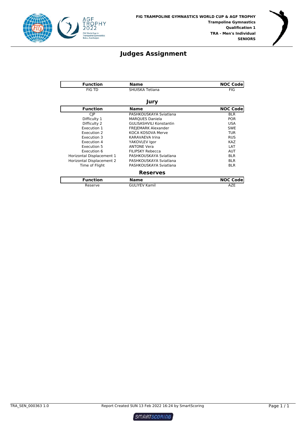



#### **Judges Assignment**

| <b>Function</b>           | <b>Name</b>                    | <b>NOC Code</b> |
|---------------------------|--------------------------------|-----------------|
| <b>FIG TD</b>             | SHUISKA Tetiana                | <b>FIG</b>      |
|                           | Jury                           |                 |
| <b>Function</b>           | <b>Name</b>                    | <b>NOC Code</b> |
| <b>CIP</b>                | PASHKOUSKAYA Sviatlana         | <b>BLR</b>      |
| Difficulty 1              | <b>MARQUES Daniela</b>         | <b>POR</b>      |
| Difficulty 2              | <b>GULISASHVILI Konstantin</b> | <b>USA</b>      |
| Execution 1               | <b>FREJEMARK Alexander</b>     | <b>SWE</b>      |
| Execution 2               | KOCA KOSOVA Merve              | <b>TUR</b>      |
| Execution 3               | <b>KARAVAEVA Irina</b>         | <b>RUS</b>      |
| Execution 4               | YAKOVLEV Igor                  | <b>KAZ</b>      |
| Execution 5               | <b>ANTONE Vera</b>             | LAT             |
| Execution 6               | <b>FILIPSKY Rebecca</b>        | <b>AUT</b>      |
| Horizontal Displacement 1 | PASHKOUSKAYA Sviatlana         | <b>BLR</b>      |
| Horizontal Displacement 2 | PASHKOUSKAYA Sviatlana         | <b>BLR</b>      |
| Time of Flight            | PASHKOUSKAYA Sviatlana         | <b>BLR</b>      |
|                           | <b>Reserves</b>                |                 |
| <b>Function</b>           | Name                           | <b>NOC Code</b> |
| Reserve                   | <b>GULIYEV Kamil</b>           | AZE             |

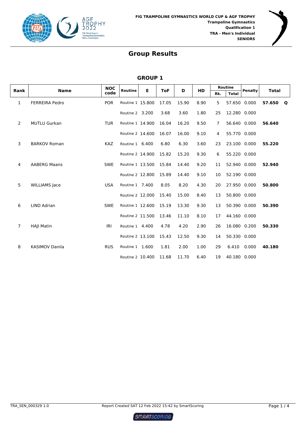



|                |                       |                    |                  |   |            |       |           | Routine |              |                |              |              |
|----------------|-----------------------|--------------------|------------------|---|------------|-------|-----------|---------|--------------|----------------|--------------|--------------|
| Rank           | <b>Name</b>           | <b>NOC</b><br>code | <b>Routine</b>   | Е | <b>ToF</b> | D     | <b>HD</b> | Rk.     | <b>Total</b> | <b>Penalty</b> | <b>Total</b> |              |
| 1              | <b>FERREIRA Pedro</b> | <b>POR</b>         | Routine 1 15.800 |   | 17.05      | 15.90 | 8.90      | 5       |              | 57.650 0.000   | 57.650       | $\mathbf{o}$ |
|                |                       |                    | Routine 2 3.200  |   | 3.68       | 3.60  | 1.80      | 25      |              | 12.280 0.000   |              |              |
| $\overline{2}$ | <b>MUTLU Gurkan</b>   | <b>TUR</b>         | Routine 1 14.900 |   | 16.04      | 16.20 | 9.50      | 7       |              | 56.640 0.000   | 56.640       |              |
|                |                       |                    | Routine 2 14.600 |   | 16.07      | 16.00 | 9.10      | 4       | 55.770 0.000 |                |              |              |
| 3              | <b>BARKOV Roman</b>   | <b>KAZ</b>         | Routine 1 6.400  |   | 6.80       | 6.30  | 3.60      | 23      | 23.100 0.000 |                | 55.220       |              |
|                |                       |                    | Routine 2 14.900 |   | 15.82      | 15.20 | 9.30      | 6       | 55.220 0.000 |                |              |              |
| 4              | <b>AABERG Maans</b>   | <b>SWE</b>         | Routine 1 13.500 |   | 15.84      | 14.40 | 9.20      | 11      |              | 52.940 0.000   | 52.940       |              |
|                |                       |                    | Routine 2 12.800 |   | 15.89      | 14.40 | 9.10      | 10      | 52.190 0.000 |                |              |              |
| 5              | <b>WILLIAMS</b> Jace  | <b>USA</b>         | Routine 1 7.400  |   | 8.05       | 8.20  | 4.30      | 20      | 27.950 0.000 |                | 50.800       |              |
|                |                       |                    | Routine 2 12,000 |   | 15.40      | 15.00 | 8.40      | 13      | 50.800 0.000 |                |              |              |
| 6              | <b>LIND Adrian</b>    | <b>SWE</b>         | Routine 1 12.600 |   | 15.19      | 13.30 | 9.30      | 13      | 50.390 0.000 |                | 50.390       |              |
|                |                       |                    | Routine 2 11.500 |   | 13.46      | 11.10 | 8.10      | 17      |              | 44.160 0.000   |              |              |
| $\overline{7}$ | <b>HAJI Matin</b>     | IRI                | Routine 1 4.400  |   | 4.78       | 4.20  | 2.90      | 26      |              | 16.080 0.200   | 50.330       |              |
|                |                       |                    | Routine 2 13.100 |   | 15.43      | 12.50 | 9.30      | 14      | 50.330 0.000 |                |              |              |
| 8              | <b>KASIMOV Danila</b> | <b>RUS</b>         | Routine 1 1.600  |   | 1.81       | 2.00  | 1.00      | 29      | 6.410        | 0.000          | 40.180       |              |
|                |                       |                    | Routine 2 10.400 |   | 11.68      | 11.70 | 6.40      | 19      | 40.180 0.000 |                |              |              |

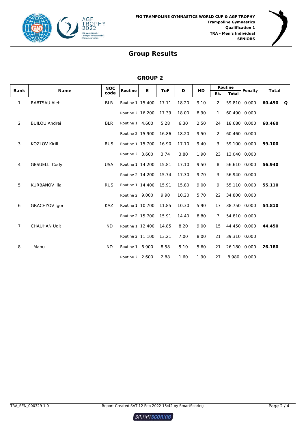



| Rank           | <b>Name</b>          | <b>NOC</b> | <b>Routine</b>   | Е | <b>ToF</b> | D     | <b>HD</b> |              | Routine      |                | <b>Total</b> |           |
|----------------|----------------------|------------|------------------|---|------------|-------|-----------|--------------|--------------|----------------|--------------|-----------|
|                |                      | code       |                  |   |            |       |           | Rk.          | <b>Total</b> | <b>Penalty</b> |              |           |
| 1              | RABTSAU Aleh         | <b>BLR</b> | Routine 1 15.400 |   | 17.11      | 18.20 | 9.10      | 2            |              | 59.810 0.000   | 60.490       | $\bullet$ |
|                |                      |            | Routine 2 16.200 |   | 17.39      | 18.00 | 8.90      | $\mathbf{1}$ | 60.490 0.000 |                |              |           |
| $\overline{2}$ | <b>BUILOU Andrei</b> | <b>BLR</b> | Routine 1 4.600  |   | 5.28       | 6.30  | 2.50      | 24           | 18.680       | 0.000          | 60.460       |           |
|                |                      |            | Routine 2 15.900 |   | 16.86      | 18.20 | 9.50      | 2            | 60.460 0.000 |                |              |           |
| 3              | <b>KOZLOV Kirill</b> | <b>RUS</b> | Routine 1 15.700 |   | 16.90      | 17.10 | 9.40      | 3            |              | 59.100 0.000   | 59.100       |           |
|                |                      |            | Routine 2 3.600  |   | 3.74       | 3.80  | 1.90      | 23           | 13.040 0.000 |                |              |           |
| 4              | <b>GESUELLI Cody</b> | <b>USA</b> | Routine 1 14.200 |   | 15.81      | 17.10 | 9.50      | 8            |              | 56.610 0.000   | 56.940       |           |
|                |                      |            | Routine 2 14.200 |   | 15.74      | 17.30 | 9.70      | 3            | 56.940 0.000 |                |              |           |
| 5              | <b>KURBANOV Ilia</b> | <b>RUS</b> | Routine 1 14.400 |   | 15.91      | 15.80 | 9.00      | 9            |              | 55.110 0.000   | 55.110       |           |
|                |                      |            | Routine 2 9.000  |   | 9.90       | 10.20 | 5.70      | 22           | 34.800 0.000 |                |              |           |
| 6              | <b>GRACHYOV Igor</b> | <b>KAZ</b> | Routine 1 10.700 |   | 11.85      | 10.30 | 5.90      | 17           |              | 38.750 0.000   | 54.810       |           |
|                |                      |            | Routine 2 15.700 |   | 15.91      | 14.40 | 8.80      | 7            | 54.810 0.000 |                |              |           |
| $\overline{7}$ | <b>CHAUHAN Udit</b>  | <b>IND</b> | Routine 1 12.400 |   | 14.85      | 8.20  | 9.00      | 15           | 44.450 0.000 |                | 44.450       |           |
|                |                      |            | Routine 2 11.100 |   | 13.21      | 7.00  | 8.00      | 21           | 39.310 0.000 |                |              |           |
| 8              | . Manu               | <b>IND</b> | Routine 1 6.900  |   | 8.58       | 5.10  | 5.60      | 21           | 26.180 0.000 |                | 26.180       |           |
|                |                      |            | Routine 2 2.600  |   | 2.88       | 1.60  | 1.90      | 27           | 8.980        | 0.000          |              |           |

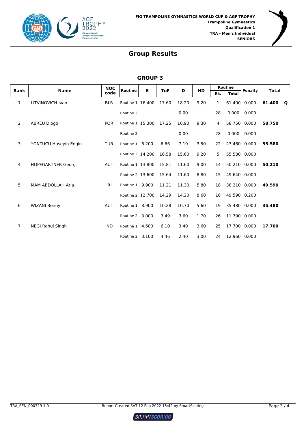



|      |                          | <b>NOC</b> |                  |   |            |       |           |     | <b>Routine</b> |                |              |  |
|------|--------------------------|------------|------------------|---|------------|-------|-----------|-----|----------------|----------------|--------------|--|
| Rank | <b>Name</b>              | code       | <b>Routine</b>   | Е | <b>ToF</b> | D     | <b>HD</b> | Rk. | <b>Total</b>   | <b>Penalty</b> | <b>Total</b> |  |
| 1    | LITVINOVICH Ivan         | <b>BLR</b> | Routine 1 16.400 |   | 17.60      | 18.20 | 9.20      | 1   | 61.400 0.000   |                | 61.400 O     |  |
|      |                          |            | Routine 2        |   |            | 0.00  |           | 28  | 0.000          | 0.000          |              |  |
| 2    | <b>ABREU Diogo</b>       | <b>POR</b> | Routine 1 15.300 |   | 17.25      | 16.90 | 9.30      | 4   | 58.750         | 0.000          | 58.750       |  |
|      |                          |            | Routine 2        |   |            | 0.00  |           | 28  | 0.000          | 0.000          |              |  |
| 3    | YONTUCU Huseyin Engin    | <b>TUR</b> | Routine 1 6.200  |   | 6.66       | 7.10  | 3.50      | 22  | 23.460 0.000   |                | 55.580       |  |
|      |                          |            | Routine 2 14,200 |   | 16.58      | 15.60 | 9.20      | 5   | 55.580 0.000   |                |              |  |
| 4    | <b>HOPFGARTNER Georg</b> | <b>AUT</b> | Routine 1 13.800 |   | 15.81      | 11.60 | 9.00      | 14  |                | 50.210 0.000   | 50.210       |  |
|      |                          |            | Routine 2 13.600 |   | 15.64      | 11.60 | 8.80      | 15  | 49.640 0.000   |                |              |  |
| 5    | <b>MAM ABDOLLAH Aria</b> | IRI        | Routine 1 9.900  |   | 11.21      | 11.30 | 5.80      | 18  | 38.210 0.000   |                | 49.590       |  |
|      |                          |            | Routine 2 12.700 |   | 14.29      | 14.20 | 8.60      | 16  | 49.590 0.200   |                |              |  |
| 6    | <b>WIZANI Benny</b>      | <b>AUT</b> | Routine 1 8.900  |   | 10.28      | 10.70 | 5.60      | 19  | 35.480 0.000   |                | 35.480       |  |
|      |                          |            | Routine 2 3,000  |   | 3.49       | 3.60  | 1.70      | 26  | 11.790 0.000   |                |              |  |
| 7    | <b>NEGI Rahul Singh</b>  | <b>IND</b> | Routine 1 4.600  |   | 6.10       | 3.40  | 3.60      | 25  | 17.700 0.000   |                | 17.700       |  |
|      |                          |            | Routine 2 3.100  |   | 4.46       | 2.40  | 3.00      | 24  | 12.960 0.000   |                |              |  |

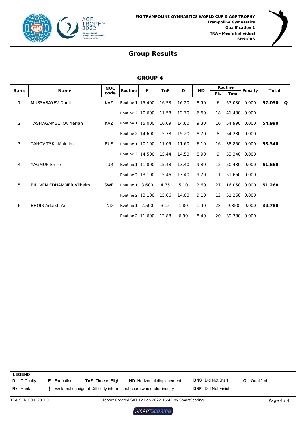



#### **GROUP 4**

| Rank | <b>Name</b>                     | <b>NOC</b> | <b>Routine</b>   | E | <b>ToF</b> | D     | <b>HD</b> |     | Routine      | <b>Penalty</b> | <b>Total</b> |     |
|------|---------------------------------|------------|------------------|---|------------|-------|-----------|-----|--------------|----------------|--------------|-----|
|      |                                 | code       |                  |   |            |       |           | Rk. | <b>Total</b> |                |              |     |
| 1    | <b>MUSSABAYEV Danil</b>         | <b>KAZ</b> | Routine 1 15.400 |   | 16.53      | 16.20 | 8.90      | 6   | 57.030       | 0.000          | 57.030       | - O |
|      |                                 |            | Routine 2 10.600 |   | 11.58      | 12.70 | 6.60      | 18  | 41.480 0.000 |                |              |     |
| 2    | <b>TASMAGAMBETOV Yerlan</b>     | <b>KAZ</b> | Routine 1 15,000 |   | 16.09      | 14.60 | 9.30      | 10  |              | 54.990 0.000   | 54.990       |     |
|      |                                 |            | Routine 2 14.600 |   | 15.78      | 15.20 | 8.70      | 8   |              | 54.280 0.000   |              |     |
| 3    | <b>TANOVITSKII Maksim</b>       | <b>RUS</b> | Routine 1 10.100 |   | 11.05      | 11.60 | 6.10      | 16  |              | 38.850 0.000   | 53.340       |     |
|      |                                 |            | Routine 2 14.500 |   | 15.44      | 14.50 | 8.90      | 9   | 53.340 0.000 |                |              |     |
| 4    | YAGMUR Emre                     | <b>TUR</b> | Routine 1 11.800 |   | 15.48      | 13.40 | 9.80      | 12  |              | 50.480 0.000   | 51.660       |     |
|      |                                 |            | Routine 2 13.100 |   | 15.46      | 13.40 | 9.70      | 11  |              | 51.660 0.000   |              |     |
| 5    | <b>BILLVEN EDHAMMER Vilhelm</b> | <b>SWE</b> | Routine 1 3.600  |   | 4.75       | 5.10  | 2.60      | 27  |              | 16.050 0.000   | 51.260       |     |
|      |                                 |            | Routine 2 13.100 |   | 15.06      | 14.00 | 9.10      | 12  | 51.260 0.000 |                |              |     |
| 6    | <b>BHOIR Adarsh Anil</b>        | <b>IND</b> | Routine 1 2.500  |   | 3.15       | 1.80  | 1.90      | 28  | 9.350        | 0.000          | 39.780       |     |
|      |                                 |            | Routine 2 11.600 |   | 12.88      | 6.90  | 8.40      | 20  |              | 39.780 0.000   |              |     |

|   | <b>LEGEND</b>      |  |                    |                           |                                                                     |                           |   |           |            |
|---|--------------------|--|--------------------|---------------------------|---------------------------------------------------------------------|---------------------------|---|-----------|------------|
| D | Difficulty         |  | <b>E</b> Execution | <b>ToF</b> Time of Flight | <b>HD</b> Horizontal displacement                                   | <b>DNS</b> Did Not Start  | Q | Qualified |            |
|   | <b>Rk</b> Rank     |  |                    |                           | Exclamation sign at Difficulty informs that score was under inquiry | <b>DNF</b> Did Not Finish |   |           |            |
|   | TRA SEN 000329 1.0 |  |                    |                           | Report Created SAT 12 Feb 2022 15:42 by SmartScoring                |                           |   |           | Page $4/4$ |

SMARTSCORING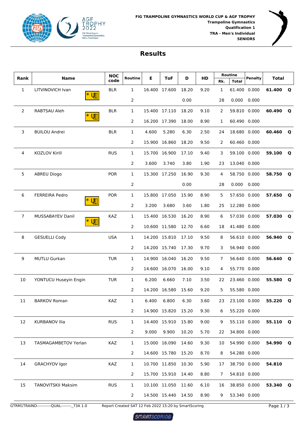



| Rank           | <b>Name</b>           | <b>NOC</b><br>code | Routine        | Е     | <b>ToF</b>          | D     | HD   |          | Routine      | Penalty      | <b>Total</b> |             |
|----------------|-----------------------|--------------------|----------------|-------|---------------------|-------|------|----------|--------------|--------------|--------------|-------------|
| $\mathbf{1}$   | LITVINOVICH Ivan      | <b>BLR</b>         | 1              |       | 16.400 17.600       | 18.20 | 9.20 | Rk.<br>1 | <b>Total</b> | 61.400 0.000 | 61.400       | Q           |
|                | Ö¦ÁH                  |                    | 2              |       |                     | 0.00  |      | 28       | 0.000        | 0.000        |              |             |
| 2              | RABTSAU Aleh          | <b>BLR</b>         | 1              |       | 15.400 17.110       | 18.20 | 9.10 | 2        |              | 59.810 0.000 | 60.490       | $\mathbf Q$ |
|                | Õ¦ÁG                  |                    | 2              |       | 16.200 17.390       | 18.00 | 8.90 | 1        |              | 60.490 0.000 |              |             |
| 3              | <b>BUILOU Andrei</b>  | <b>BLR</b>         | $\mathbf 1$    | 4.600 | 5.280               | 6.30  | 2.50 | 24       | 18.680 0.000 |              | 60.460       | $\mathbf Q$ |
|                |                       |                    | 2              |       | 15.900 16.860       | 18.20 | 9.50 | 2        |              | 60.460 0.000 |              |             |
| 4              | KOZLOV Kirill         | <b>RUS</b>         | $\mathbf{1}$   |       | 15.700 16.900       | 17.10 | 9.40 | 3        |              | 59.100 0.000 | 59.100       | $\mathbf Q$ |
|                |                       |                    | 2              | 3.600 | 3.740               | 3.80  | 1.90 | 23       |              | 13.040 0.000 |              |             |
| 5              | <b>ABREU Diogo</b>    | <b>POR</b>         | $\mathbf{1}$   |       | 15.300 17.250       | 16.90 | 9.30 | 4        |              | 58.750 0.000 | 58.750       | $\mathbf Q$ |
|                |                       |                    | 2              |       |                     | 0.00  |      | 28       | 0.000        | 0.000        |              |             |
| 6              | FERREIRA Pedro        | <b>POR</b>         | 1              |       | 15.800 17.050       | 15.90 | 8.90 | 5        |              | 57.650 0.000 | 57.650       | Q           |
|                | Õ¦Æ                   |                    | 2              | 3.200 | 3.680               | 3.60  | 1.80 | 25       |              | 12.280 0.000 |              |             |
| $\overline{7}$ | MUSSABAYEV Danil      | KAZ                | 1              |       | 15.400 16.530       | 16.20 | 8.90 | 6        | 57.030 0.000 |              | 57.030       | Q           |
|                | Õ¦Á                   |                    | 2              |       | 10.600 11.580       | 12.70 | 6.60 | 18       |              | 41.480 0.000 |              |             |
| $\, 8$         | <b>GESUELLI Cody</b>  | <b>USA</b>         | 1              |       | 14.200 15.810       | 17.10 | 9.50 | 8        |              | 56.610 0.000 | 56.940       | $\mathbf Q$ |
|                |                       |                    | 2              |       | 14.200 15.740       | 17.30 | 9.70 | 3        |              | 56.940 0.000 |              |             |
| 9              | <b>MUTLU Gurkan</b>   | <b>TUR</b>         | 1              |       | 14.900 16.040       | 16.20 | 9.50 | 7        |              | 56.640 0.000 | 56.640       | $\mathbf Q$ |
|                |                       |                    | 2              |       | 14.600 16.070       | 16.00 | 9.10 | 4        |              | 55.770 0.000 |              |             |
| 10             | YONTUCU Huseyin Engin | <b>TUR</b>         | $\mathbf 1$    | 6.200 | 6.660               | 7.10  | 3.50 | 22       |              | 23.460 0.000 | 55.580       | $\mathbf Q$ |
|                |                       |                    | 2              |       | 14.200 16.580       | 15.60 | 9.20 | 5        |              | 55.580 0.000 |              |             |
| 11             | <b>BARKOV Roman</b>   | <b>KAZ</b>         | $\mathbf{1}$   |       | 6.400 6.800         | 6.30  | 3.60 | 23       | 23.100 0.000 |              | 55.220 0     |             |
|                |                       |                    | 2              |       | 14.900 15.820 15.20 |       | 9.30 | 6        |              | 55.220 0.000 |              |             |
| 12             | <b>KURBANOV Ilia</b>  | <b>RUS</b>         | $\mathbf{1}$   |       | 14.400 15.910 15.80 |       | 9.00 | 9        |              | 55.110 0.000 | 55.110 Q     |             |
|                |                       |                    | $\overline{2}$ |       | 9.000 9.900         | 10.20 | 5.70 | 22       | 34.800 0.000 |              |              |             |
| 13             | TASMAGAMBETOV Yerlan  | <b>KAZ</b>         | 1              |       | 15.000 16.090 14.60 |       | 9.30 | 10       | 54.990 0.000 |              | 54.990 Q     |             |
|                |                       |                    | 2              |       | 14.600 15.780       | 15.20 | 8.70 | 8        |              | 54.280 0.000 |              |             |
| 14             | GRACHYOV Igor         | KAZ                | $\mathbf{1}$   |       | 10.700 11.850 10.30 |       | 5.90 | 17       | 38.750 0.000 |              | 54.810       |             |
|                |                       |                    | 2              |       | 15.700 15.910 14.40 |       | 8.80 | 7        | 54.810 0.000 |              |              |             |
| 15             | TANOVITSKII Maksim    | <b>RUS</b>         | $\mathbf{1}$   |       | 10.100 11.050 11.60 |       | 6.10 | 16       | 38.850 0.000 |              | 53.340 Q     |             |
|                |                       |                    | 2              |       | 14.500 15.440 14.50 |       | 8.90 | 9        | 53.340 0.000 |              |              |             |
|                |                       |                    |                |       |                     |       |      |          |              |              |              |             |

GTRM1TRAIND-----------QUAL--------\_73A 1.0 Report Created SAT 12 Feb 2022 15:20 by SmartScoring Page 1 / 3

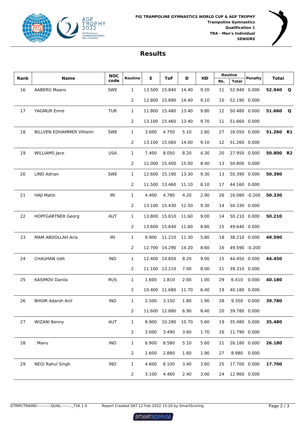



| Rank | <b>Name</b>                     | <b>NOC</b> | Routine        | Е     | <b>ToF</b>    | D     | HD   |     | Routine      | Penalty       | <b>Total</b> |             |
|------|---------------------------------|------------|----------------|-------|---------------|-------|------|-----|--------------|---------------|--------------|-------------|
|      |                                 | code       |                |       |               |       |      | Rk. | <b>Total</b> |               |              |             |
| 16   | <b>AABERG Maans</b>             | <b>SWE</b> | 1              |       | 13.500 15.840 | 14.40 | 9.20 | 11  | 52.940 0.000 |               | 52.940       | Q           |
|      |                                 |            | 2              |       | 12.800 15.890 | 14.40 | 9.10 | 10  | 52.190 0.000 |               |              |             |
| 17   | YAGMUR Emre                     | <b>TUR</b> | 1              |       | 11.800 15.480 | 13.40 | 9.80 | 12  | 50.480 0.000 |               | 51.660       | $\mathbf Q$ |
|      |                                 |            | $\overline{2}$ |       | 13.100 15.460 | 13.40 | 9.70 | 11  | 51.660 0.000 |               |              |             |
| 18   | <b>BILLVEN EDHAMMER Vilhelm</b> | SWE        | $\mathbf{1}$   | 3.600 | 4.750         | 5.10  | 2.60 | 27  | 16.050 0.000 |               | 51.260 R1    |             |
|      |                                 |            | 2              |       | 13.100 15.060 | 14.00 | 9.10 | 12  | 51.260 0.000 |               |              |             |
| 19   | WILLIAMS Jace                   | <b>USA</b> | $\mathbf{1}$   | 7.400 | 8.050         | 8.20  | 4.30 | 20  | 27.950 0.000 |               | 50.800 R2    |             |
|      |                                 |            | 2              |       | 12.000 15.400 | 15.00 | 8.40 | 13  | 50.800 0.000 |               |              |             |
| 20   | LIND Adrian                     | SWE        | 1              |       | 12.600 15.190 | 13.30 | 9.30 | 13  | 50.390 0.000 |               | 50.390       |             |
|      |                                 |            | 2              |       | 11.500 13.460 | 11.10 | 8.10 | 17  | 44.160 0.000 |               |              |             |
| 21   | HAJI Matin                      | IRI        | 1              | 4.400 | 4.780         | 4.20  | 2.90 | 26  |              | 16.080 -0.200 | 50.330       |             |
|      |                                 |            | 2              |       | 13.100 15.430 | 12.50 | 9.30 | 14  | 50.330 0.000 |               |              |             |
| 22   | <b>HOPFGARTNER Georg</b>        | <b>AUT</b> | 1              |       | 13.800 15.810 | 11.60 | 9.00 | 14  | 50.210 0.000 |               | 50.210       |             |
|      |                                 |            | $\overline{2}$ |       | 13.600 15.640 | 11.60 | 8.80 | 15  | 49.640 0.000 |               |              |             |
| 23   | MAM ABDOLLAH Aria               | <b>IRI</b> | 1              | 9.900 | 11.210        | 11.30 | 5.80 | 18  | 38.210 0.000 |               | 49.590       |             |
|      |                                 |            | 2              |       | 12.700 14.290 | 14.20 | 8.60 | 16  |              | 49.590 -0.200 |              |             |
| 24   | <b>CHAUHAN Udit</b>             | <b>IND</b> | 1              |       | 12.400 14.850 | 8.20  | 9.00 | 15  | 44.450 0.000 |               | 44.450       |             |
|      |                                 |            | 2              |       | 11.100 13.210 | 7.00  | 8.00 | 21  |              | 39.310 0.000  |              |             |
| 25   | <b>KASIMOV Danila</b>           | <b>RUS</b> | $\mathbf{1}$   | 1.600 | 1.810         | 2.00  | 1.00 | 29  | 6.410        | 0.000         | 40.180       |             |
|      |                                 |            | 2              |       | 10.400 11.680 | 11.70 | 6.40 | 19  | 40.180 0.000 |               |              |             |
| 26   | <b>BHOIR Adarsh Anil</b>        | <b>IND</b> | $\mathbf{1}$   |       | 2.500 3.150   | 1.80  | 1.90 | 28  |              | 9.350 0.000   | 39.780       |             |
|      |                                 |            | $\overline{2}$ |       | 11.600 12.880 | 6.90  | 8.40 | 20  | 39.780 0.000 |               |              |             |
| 27   | <b>WIZANI Benny</b>             | <b>AUT</b> | $\mathbf{1}$   | 8.900 | 10.280        | 10.70 | 5.60 | 19  | 35.480 0.000 |               | 35.480       |             |
|      |                                 |            | $\overline{2}$ | 3.000 | 3.490         | 3.60  | 1.70 | 26  | 11.790 0.000 |               |              |             |
| 28   | . Manu                          | <b>IND</b> | 1              | 6.900 | 8.580         | 5.10  | 5.60 | 21  | 26.180 0.000 |               | 26.180       |             |
|      |                                 |            | $\overline{2}$ | 2.600 | 2.880         | 1.60  | 1.90 | 27  | 8.980        | 0.000         |              |             |
| 29   | <b>NEGI Rahul Singh</b>         | <b>IND</b> | 1              | 4.600 | 6.100         | 3.40  | 3.60 | 25  | 17.700 0.000 |               | 17.700       |             |
|      |                                 |            | 2              | 3.100 | 4.460         | 2.40  | 3.00 | 24  | 12.960 0.000 |               |              |             |
|      |                                 |            |                |       |               |       |      |     |              |               |              |             |

GTRM1TRAIND-----------QUAL--------\_73A 1.0 Report Created SAT 12 Feb 2022 15:20 by SmartScoring Page 2 / 3

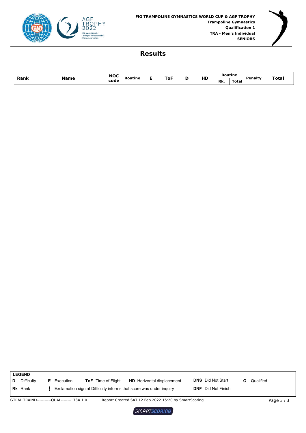



|      |      | NOC  |         | ToF |         | ,,,, | alan bir s |       |                       | Total |
|------|------|------|---------|-----|---------|------|------------|-------|-----------------------|-------|
| Rank | Name | code | Routine | ___ | <br>. . | пL   | Rk.        | Total | <b>Penalty</b><br>___ |       |

|   | <b>LEGEND</b>                              |                    |                                                                     |                                                      |                           |   |           |            |
|---|--------------------------------------------|--------------------|---------------------------------------------------------------------|------------------------------------------------------|---------------------------|---|-----------|------------|
| D | <b>Difficulty</b>                          | <b>E</b> Execution | <b>ToF</b> Time of Flight                                           | <b>HD</b> Horizontal displacement                    | <b>DNS</b> Did Not Start  | O | Qualified |            |
|   | <b>Rk</b> Rank                             |                    | Exclamation sign at Difficulty informs that score was under inquiry |                                                      | <b>DNF</b> Did Not Finish |   |           |            |
|   | GTRM1TRAIND-----------OUAL-------- 73A 1.0 |                    |                                                                     | Report Created SAT 12 Feb 2022 15:20 by SmartScoring |                           |   |           | Page $3/3$ |
|   |                                            |                    |                                                                     | SMARTSCORING                                         |                           |   |           |            |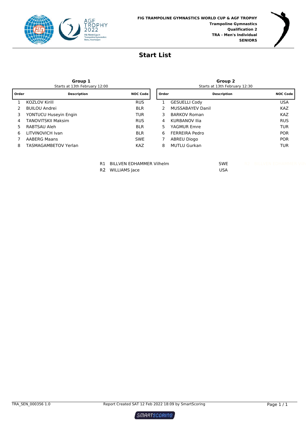



#### **Start List**

### **Group 1**<br>Starts at 13th February 12:00

| Group 2                       |  |
|-------------------------------|--|
| Starts at 13th February 12:30 |  |

| Order | <b>Description</b>        | <b>NOC Code</b> | Order | <b>Description</b>      | <b>NOC Code</b> |
|-------|---------------------------|-----------------|-------|-------------------------|-----------------|
|       | <b>KOZLOV Kirill</b>      | <b>RUS</b>      |       | <b>GESUELLI Cody</b>    | <b>USA</b>      |
|       | <b>BUILOU Andrei</b>      | <b>BLR</b>      |       | <b>MUSSABAYEV Danil</b> | <b>KAZ</b>      |
|       | YONTUCU Huseyin Engin     | TUR             | 3     | <b>BARKOV Roman</b>     | <b>KAZ</b>      |
| 4     | <b>TANOVITSKII Maksim</b> | <b>RUS</b>      | 4     | KURBANOV Ilia           | <b>RUS</b>      |
|       | RABTSAU Aleh              | <b>BLR</b>      | 5     | YAGMUR Emre             | <b>TUR</b>      |
| 6     | LITVINOVICH Ivan          | <b>BLR</b>      | 6     | FERREIRA Pedro          | <b>POR</b>      |
|       | <b>AABERG Maans</b>       | <b>SWE</b>      |       | ABREU Diogo             | <b>POR</b>      |
| 8     | TASMAGAMBETOV Yerlan      | <b>KAZ</b>      | 8     | <b>MUTLU Gurkan</b>     | <b>TUR</b>      |
|       |                           |                 |       |                         |                 |

R1 BILLVEN EDHAMMER Vilhelm SWE

R2 WILLIAMS Jace USA

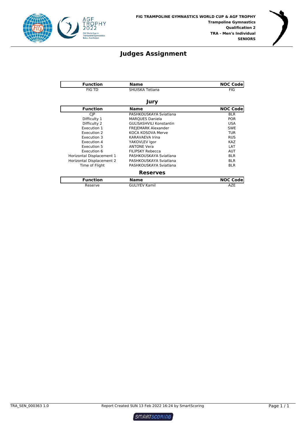



#### **Judges Assignment**

| <b>Function</b>           | <b>Name</b>                    | <b>NOC Code</b> |
|---------------------------|--------------------------------|-----------------|
| <b>FIG TD</b>             | SHUISKA Tetiana                | <b>FIG</b>      |
|                           | Jury                           |                 |
| <b>Function</b>           | <b>Name</b>                    | <b>NOC Code</b> |
| <b>CIP</b>                | PASHKOUSKAYA Sviatlana         | <b>BLR</b>      |
| Difficulty 1              | <b>MARQUES Daniela</b>         | <b>POR</b>      |
| Difficulty 2              | <b>GULISASHVILI Konstantin</b> | <b>USA</b>      |
| Execution 1               | <b>FREJEMARK Alexander</b>     | <b>SWE</b>      |
| Execution 2               | KOCA KOSOVA Merve              | <b>TUR</b>      |
| Execution 3               | <b>KARAVAEVA Irina</b>         | <b>RUS</b>      |
| Execution 4               | YAKOVLEV Igor                  | <b>KAZ</b>      |
| Execution 5               | <b>ANTONE Vera</b>             | LAT             |
| Execution 6               | <b>FILIPSKY Rebecca</b>        | <b>AUT</b>      |
| Horizontal Displacement 1 | PASHKOUSKAYA Sviatlana         | <b>BLR</b>      |
| Horizontal Displacement 2 | PASHKOUSKAYA Sviatlana         | <b>BLR</b>      |
| Time of Flight            | PASHKOUSKAYA Sviatlana         | <b>BLR</b>      |
|                           | <b>Reserves</b>                |                 |
| <b>Function</b>           | <b>Name</b>                    | <b>NOC Code</b> |
| Reserve                   | <b>GULIYEV Kamil</b>           | AZE             |

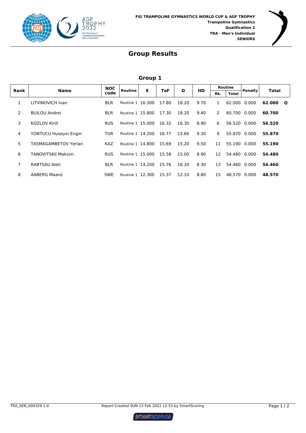



#### **Group 1**

|      |                           | <b>NOC</b> | Routine          | E | <b>ToF</b> | D     |      |              | <b>Routine</b> |                | Total  |              |
|------|---------------------------|------------|------------------|---|------------|-------|------|--------------|----------------|----------------|--------|--------------|
| Rank | <b>Name</b>               | code       |                  |   |            |       | HD   | Rk.          | <b>Total</b>   | <b>Penalty</b> |        |              |
|      | LITVINOVICH Ivan          | <b>BLR</b> | Routine 1 16.300 |   | 17.80      | 18.20 | 9.70 | $\mathbf{1}$ | 62.000         | 0.000          | 62.000 | $\mathbf{o}$ |
| 2    | <b>BUILOU Andrei</b>      | <b>BLR</b> | Routine 1 15.800 |   | 17.30      | 18.20 | 9.40 | 2            | 60.700         | 0.000          | 60.700 |              |
| 3.   | <b>KOZLOV Kirill</b>      | RUS.       | Routine 1 15.000 |   | 16.32      | 16.30 | 8.90 | 6            | 56.520         | 0.000          | 56.520 |              |
| 4    | YONTUCU Huseyin Engin     | TUR        | Routine 1 14.200 |   | 16.77      | 15.60 | 9.30 | 9            | 55.870         | 0.000          | 55.870 |              |
| 5    | TASMAGAMBFTOV Yerlan      | KAZ.       | Routine 1 14,800 |   | 15.69      | 15.20 | 9.50 | 11           | 55.190 0.000   |                | 55.190 |              |
| 6    | <b>TANOVITSKII Maksim</b> | RUS.       | Routine 1 15.000 |   | 15.58      | 15.00 | 8.90 | 12           | 54.480         | 0.000          | 54.480 |              |
| 7    | RABTSAU Aleh              | <b>BLR</b> | Routine 1 14.200 |   | 15.76      | 16.20 | 8.30 | 13           | 54.460         | 0.000          | 54.460 |              |
| 8    | <b>AABERG Maans</b>       | <b>SWE</b> | Routine 1 12.300 |   | 15.37      | 12.10 | 8.80 | 15           | 48.570         | 0.000          | 48.570 |              |

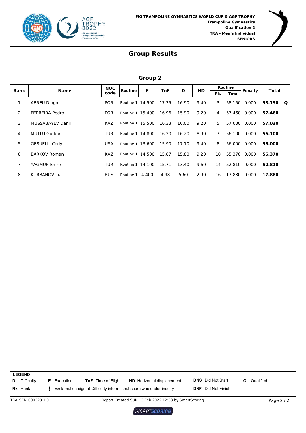



#### **Group 2**

| Rank | <b>Name</b>             | <b>NOC</b> | Routine          | E     | ToF   | D     | <b>HD</b> |     | Routine      | <b>Penalty</b> | Total              |
|------|-------------------------|------------|------------------|-------|-------|-------|-----------|-----|--------------|----------------|--------------------|
|      |                         | code       |                  |       |       |       |           | Rk. | <b>Total</b> |                |                    |
| 1    | <b>ABREU Diogo</b>      | <b>POR</b> | Routine 1 14.500 |       | 17.35 | 16.90 | 9.40      | 3   | 58.150       | 0.000          | 58.150<br><b>O</b> |
| 2    | <b>FERREIRA Pedro</b>   | <b>POR</b> | Routine 1 15.400 |       | 16.96 | 15.90 | 9.20      | 4   | 57.460       | 0.000          | 57.460             |
| 3    | <b>MUSSABAYEV Danil</b> | KAZ        | Routine 1 15.500 |       | 16.33 | 16.00 | 9.20      | 5   | 57.030       | 0.000          | 57.030             |
| 4    | <b>MUTLU Gurkan</b>     | <b>TUR</b> | Routine 1 14.800 |       | 16.20 | 16.20 | 8.90      | 7   | 56.100       | 0.000          | 56.100             |
| 5    | <b>GESUELLI Cody</b>    | USA        | Routine 1 13.600 |       | 15.90 | 17.10 | 9.40      | 8   | 56.000       | 0.000          | 56.000             |
| 6    | <b>BARKOV Roman</b>     | <b>KAZ</b> | Routine 1 14.500 |       | 15.87 | 15.80 | 9.20      | 10  | 55.370 0.000 |                | 55.370             |
| 7    | YAGMUR Emre             | TUR        | Routine 1 14.100 |       | 15.71 | 13.40 | 9.60      | 14  | 52.810 0.000 |                | 52.810             |
| 8    | KURBANOV Ilia           | <b>RUS</b> | Routine 1        | 4.400 | 4.98  | 5.60  | 2.90      | 16  | 17.880       | 0.000          | 17.880             |

|   | <b>LEGEND</b>      |                    |                                                                     |                                                      |                          |   |           |            |  |
|---|--------------------|--------------------|---------------------------------------------------------------------|------------------------------------------------------|--------------------------|---|-----------|------------|--|
| D | Difficulty         | <b>E</b> Execution | <b>ToF</b> Time of Flight                                           | <b>HD</b> Horizontal displacement                    | <b>DNS</b> Did Not Start | O | Qualified |            |  |
|   | <b>Rk</b> Rank     |                    | Exclamation sign at Difficulty informs that score was under inquiry | <b>DNF</b> Did Not Finish                            |                          |   |           |            |  |
|   | TRA SEN 000329 1.0 |                    |                                                                     | Report Created SUN 13 Feb 2022 12:53 by SmartScoring |                          |   |           | Page $2/2$ |  |

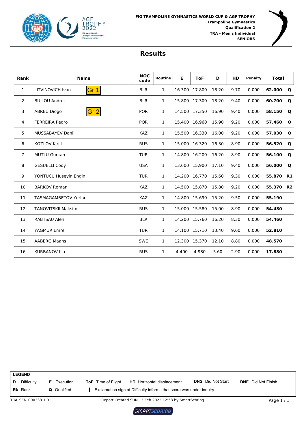



| Rank           | <b>Name</b>                 | <b>NOC</b><br>code | <b>Routine</b> | Е     | <b>ToF</b>    | D     | <b>HD</b> | <b>Penalty</b> | <b>Total</b> |              |
|----------------|-----------------------------|--------------------|----------------|-------|---------------|-------|-----------|----------------|--------------|--------------|
| 1              | Gr 1 <br>LITVINOVICH Ivan   | <b>BLR</b>         | $\mathbf{1}$   |       | 16.300 17.800 | 18.20 | 9.70      | 0.000          | 62.000       | $\mathbf{o}$ |
| 2              | <b>BUILOU Andrei</b>        | <b>BLR</b>         | 1              |       | 15.800 17.300 | 18.20 | 9.40      | 0.000          | 60.700       | $\mathbf{o}$ |
| 3              | Gr 2 <br><b>ABREU Diogo</b> | <b>POR</b>         | $\mathbf{1}$   |       | 14.500 17.350 | 16.90 | 9.40      | 0.000          | 58.150       | $\mathbf Q$  |
| 4              | <b>FERREIRA Pedro</b>       | <b>POR</b>         | $\mathbf{1}$   |       | 15.400 16.960 | 15.90 | 9.20      | 0.000          | 57.460       | $\mathbf{o}$ |
| 5              | <b>MUSSABAYEV Danil</b>     | <b>KAZ</b>         | $\mathbf{1}$   |       | 15.500 16.330 | 16.00 | 9.20      | 0.000          | 57.030       | $\mathbf{o}$ |
| 6              | <b>KOZLOV Kirill</b>        | <b>RUS</b>         | $\mathbf{1}$   |       | 15.000 16.320 | 16.30 | 8.90      | 0.000          | 56.520       | $\mathbf{o}$ |
| $\overline{7}$ | <b>MUTLU Gurkan</b>         | <b>TUR</b>         | 1              |       | 14.800 16.200 | 16.20 | 8.90      | 0.000          | 56.100       | Q            |
| 8              | <b>GESUELLI Cody</b>        | <b>USA</b>         | $\mathbf{1}$   |       | 13.600 15.900 | 17.10 | 9.40      | 0.000          | 56.000       | $\mathbf{o}$ |
| 9              | YONTUCU Huseyin Engin       | <b>TUR</b>         | $\mathbf{1}$   |       | 14.200 16.770 | 15.60 | 9.30      | 0.000          | 55.870       | R1           |
| 10             | <b>BARKOV Roman</b>         | <b>KAZ</b>         | $\mathbf{1}$   |       | 14.500 15.870 | 15.80 | 9.20      | 0.000          | 55.370 R2    |              |
| 11             | <b>TASMAGAMBETOV Yerlan</b> | <b>KAZ</b>         | $\mathbf{1}$   |       | 14.800 15.690 | 15.20 | 9.50      | 0.000          | 55.190       |              |
| 12             | <b>TANOVITSKII Maksim</b>   | <b>RUS</b>         | $\mathbf{1}$   |       | 15.000 15.580 | 15.00 | 8.90      | 0.000          | 54.480       |              |
| 13             | RABTSAU Aleh                | <b>BLR</b>         | $\mathbf{1}$   |       | 14.200 15.760 | 16.20 | 8.30      | 0.000          | 54.460       |              |
| 14             | YAGMUR Emre                 | <b>TUR</b>         | $\mathbf{1}$   |       | 14.100 15.710 | 13.40 | 9.60      | 0.000          | 52.810       |              |
| 15             | <b>AABERG Maans</b>         | <b>SWE</b>         | $\mathbf{1}$   |       | 12.300 15.370 | 12.10 | 8.80      | 0.000          | 48.570       |              |
| 16             | <b>KURBANOV Ilia</b>        | <b>RUS</b>         | $\mathbf{1}$   | 4.400 | 4.980         | 5.60  | 2.90      | 0.000          | 17.880       |              |

|                    | <b>LEGEND</b>                                                 |  |                                                      |                                                                     |                           |  |  |  |
|--------------------|---------------------------------------------------------------|--|------------------------------------------------------|---------------------------------------------------------------------|---------------------------|--|--|--|
|                    | Difficulty<br><b>ToF</b> Time of Flight<br><b>E</b> Execution |  | <b>HD</b> Horizontal displacement                    | <b>DNS</b> Did Not Start                                            | <b>DNF</b> Did Not Finish |  |  |  |
|                    | <b>Rk</b> Rank                                                |  | <b>Q</b> Qualified                                   | Exclamation sign at Difficulty informs that score was under inquiry |                           |  |  |  |
| TRA SEN 000333 1.0 |                                                               |  | Report Created SUN 13 Feb 2022 12:53 by SmartScoring | Page $1/1$                                                          |                           |  |  |  |

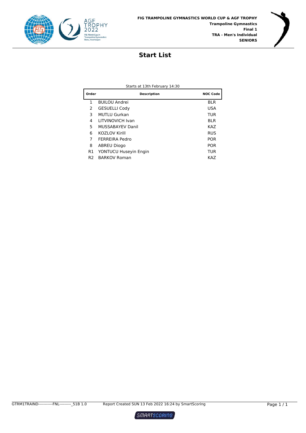



#### **Start List**

| Order          | <b>Description</b>      | <b>NOC Code</b> |
|----------------|-------------------------|-----------------|
| 1              | <b>BUILOU Andrei</b>    | <b>BLR</b>      |
| 2              | <b>GESUELLI Cody</b>    | USA             |
| 3              | <b>MUTLU Gurkan</b>     | <b>TUR</b>      |
| 4              | LITVINOVICH Ivan        | <b>BLR</b>      |
| 5              | <b>MUSSABAYEV Danil</b> | KAZ             |
| 6              | KOZLOV Kirill           | <b>RUS</b>      |
| 7              | <b>FERREIRA Pedro</b>   | <b>POR</b>      |
| 8              | ABREU Diogo             | <b>POR</b>      |
| R1             | YONTUCU Huseyin Engin   | TUR             |
| R <sub>2</sub> | <b>BARKOV Roman</b>     | KAZ             |

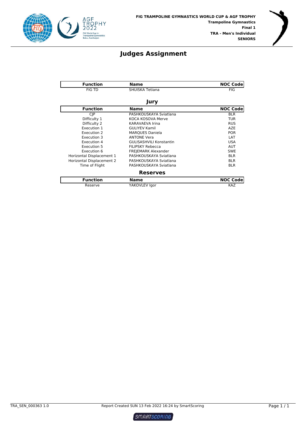



#### **Judges Assignment**

| <b>Function</b>           | <b>Name</b>                    | <b>NOC Code</b> |
|---------------------------|--------------------------------|-----------------|
| <b>FIG TD</b>             | SHUISKA Tetiana                | <b>FIG</b>      |
|                           | Jury                           |                 |
| <b>Function</b>           | <b>Name</b>                    | <b>NOC Code</b> |
| <b>CJP</b>                | PASHKOUSKAYA Sviatlana         | <b>BLR</b>      |
| Difficulty 1              | KOCA KOSOVA Merve              | <b>TUR</b>      |
| Difficulty 2              | KARAVAEVA Irina                | <b>RUS</b>      |
| Execution 1               | <b>GULIYEV Kamil</b>           | <b>AZE</b>      |
| Execution 2               | <b>MARQUES Daniela</b>         | <b>POR</b>      |
| Execution 3               | <b>ANTONE Vera</b>             | LAT             |
| Execution 4               | <b>GULISASHVILI Konstantin</b> | <b>USA</b>      |
| Execution 5               | <b>FILIPSKY Rebecca</b>        | <b>AUT</b>      |
| Execution 6               | <b>FREJEMARK Alexander</b>     | <b>SWE</b>      |
| Horizontal Displacement 1 | PASHKOUSKAYA Sviatlana         | <b>BLR</b>      |
| Horizontal Displacement 2 | PASHKOUSKAYA Sviatlana         | <b>BLR</b>      |
| Time of Flight            | PASHKOUSKAYA Sviatlana         | <b>BLR</b>      |
|                           | <b>Reserves</b>                |                 |
| <b>Function</b>           | <b>Name</b>                    | <b>NOC Code</b> |
| Reserve                   | YAKOVLEV Igor                  | KAZ             |

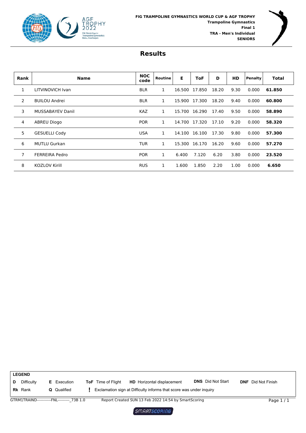



| Rank | <b>Name</b>             | <b>NOC</b><br>code | Routine | Е      | ToF    | D     | HD.  | Penalty | <b>Total</b> |
|------|-------------------------|--------------------|---------|--------|--------|-------|------|---------|--------------|
| 1    | LITVINOVICH Ivan        | <b>BLR</b>         | 1       | 16.500 | 17.850 | 18.20 | 9.30 | 0.000   | 61.850       |
| 2    | <b>BUILOU Andrei</b>    | <b>BLR</b>         | 1       | 15.900 | 17.300 | 18.20 | 9.40 | 0.000   | 60.800       |
| 3    | <b>MUSSABAYEV Danil</b> | <b>KAZ</b>         | 1       | 15.700 | 16.290 | 17.40 | 9.50 | 0.000   | 58.890       |
| 4    | <b>ABREU Diogo</b>      | <b>POR</b>         | 1       | 14.700 | 17.320 | 17.10 | 9.20 | 0.000   | 58.320       |
| 5    | <b>GESUELLI Cody</b>    | <b>USA</b>         | 1       | 14.100 | 16.100 | 17.30 | 9.80 | 0.000   | 57.300       |
| 6    | <b>MUTLU Gurkan</b>     | <b>TUR</b>         | 1       | 15.300 | 16.170 | 16.20 | 9.60 | 0.000   | 57.270       |
| 7    | <b>FERREIRA Pedro</b>   | <b>POR</b>         | 1       | 6.400  | 7.120  | 6.20  | 3.80 | 0.000   | 23.520       |
| 8    | <b>KOZLOV Kirill</b>    | <b>RUS</b>         |         | 1.600  | 1.850  | 2.20  | 1.00 | 0.000   | 6.650        |



SMARTSCORING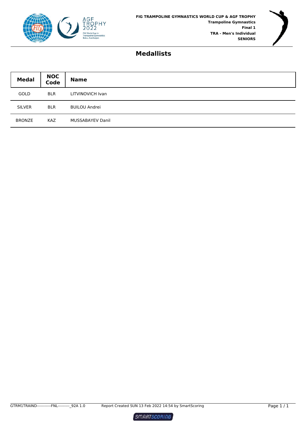



#### **Medallists**

| <b>Medal</b>  | <b>NOC</b><br>Code | <b>Name</b>             |
|---------------|--------------------|-------------------------|
| <b>GOLD</b>   | <b>BLR</b>         | LITVINOVICH Ivan        |
| <b>SILVER</b> | <b>BLR</b>         | <b>BUILOU Andrei</b>    |
| <b>BRONZE</b> | <b>KAZ</b>         | <b>MUSSABAYEV Danil</b> |

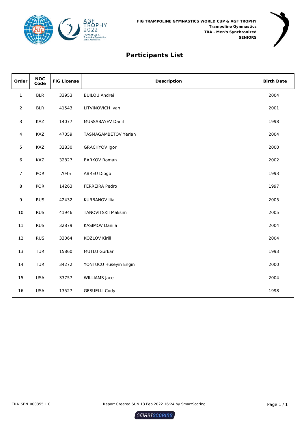



### **Participants List**

| Order           | <b>NOC</b><br>Code | <b>FIG License</b> | <b>Description</b>        | <b>Birth Date</b> |
|-----------------|--------------------|--------------------|---------------------------|-------------------|
| $\mathbf 1$     | <b>BLR</b>         | 33953              | <b>BUILOU Andrei</b>      | 2004              |
| $\overline{2}$  | <b>BLR</b>         | 41543              | LITVINOVICH Ivan          | 2001              |
| 3               | KAZ                | 14077              | MUSSABAYEV Danil          | 1998              |
| 4               | KAZ                | 47059              | TASMAGAMBETOV Yerlan      | 2004              |
| $5\phantom{.0}$ | KAZ                | 32830              | GRACHYOV Igor             | 2000              |
| $\,$ 6 $\,$     | KAZ                | 32827              | <b>BARKOV Roman</b>       | 2002              |
| $\overline{7}$  | <b>POR</b>         | 7045               | <b>ABREU Diogo</b>        | 1993              |
| 8               | POR                | 14263              | FERREIRA Pedro            | 1997              |
| 9               | <b>RUS</b>         | 42432              | <b>KURBANOV Ilia</b>      | 2005              |
| 10              | <b>RUS</b>         | 41946              | <b>TANOVITSKII Maksim</b> | 2005              |
| 11              | <b>RUS</b>         | 32879              | KASIMOV Danila            | 2004              |
| 12              | <b>RUS</b>         | 33064              | KOZLOV Kirill             | 2004              |
| 13              | <b>TUR</b>         | 15860              | MUTLU Gurkan              | 1993              |
| 14              | <b>TUR</b>         | 34272              | YONTUCU Huseyin Engin     | 2000              |
| 15              | <b>USA</b>         | 33757              | <b>WILLIAMS Jace</b>      | 2004              |
| 16              | <b>USA</b>         | 13527              | <b>GESUELLI Cody</b>      | 1998              |

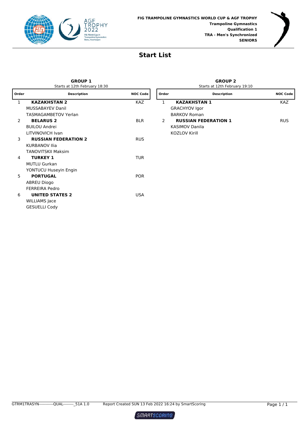



#### **Start List**

#### **GROUP 1 Order Description NOC Code GROUP 2 Order Description NOC Code** Starts at 12th February 18:30 Starts at 12th February 19:10 1 **KAZAKHSTAN 2** KAZ 1 **KAZAKHSTAN 1** KAZ MUSSABAYEV Danil GRACHYOV Igor TASMAGAMBETOV Yerlan BARKOV Roman BARKOV Roman 2 **BELARUS 2** BLR 2 **RUSSIAN FEDERATION 1** RUS BUILOU Andrei **KASIMOV Danila** LITVINOVICH Ivan KOZLOV Kirill 3 **RUSSIAN FEDERATION 2** RUS KURBANOV Ilia TANOVITSKII Maksim 4 **TURKEY 1** TUR MUTLU Gurkan YONTUCU Huseyin Engin 5 **PORTUGAL** POR ABREU Diogo FERREIRA Pedro 6 **UNITED STATES 2** USA WILLIAMS Jace GESUELLI Cody

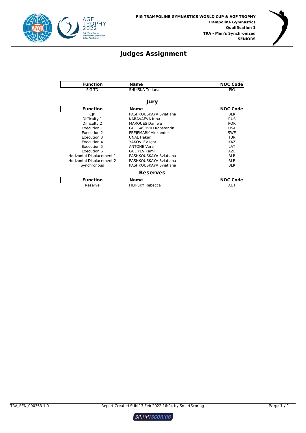



#### **Judges Assignment**

| <b>Function</b>           | <b>Name</b>                    | <b>NOC Code</b> |
|---------------------------|--------------------------------|-----------------|
| <b>FIG TD</b>             | SHUISKA Tetiana                | <b>FIG</b>      |
|                           | Jury                           |                 |
| <b>Function</b>           | <b>Name</b>                    | <b>NOC Code</b> |
| <b>CIP</b>                | PASHKOUSKAYA Sviatlana         | <b>BLR</b>      |
| Difficulty 1              | <b>KARAVAEVA Irina</b>         | <b>RUS</b>      |
| Difficulty 2              | <b>MARQUES Daniela</b>         | <b>POR</b>      |
| Execution 1               | <b>GULISASHVILI Konstantin</b> | <b>USA</b>      |
| Execution 2               | <b>FREJEMARK Alexander</b>     | <b>SWE</b>      |
| Execution 3               | <b>UNAL Hakan</b>              | <b>TUR</b>      |
| Execution 4               | YAKOVLEV Igor                  | <b>KAZ</b>      |
| Execution 5               | <b>ANTONE Vera</b>             | LAT             |
| Execution 6               | <b>GULIYEV Kamil</b>           | <b>AZE</b>      |
| Horizontal Displacement 1 | PASHKOUSKAYA Sviatlana         | <b>BLR</b>      |
| Horizontal Displacement 2 | PASHKOUSKAYA Sviatlana         | <b>BLR</b>      |
| Synchronous               | PASHKOUSKAYA Sviatlana         | <b>BLR</b>      |
|                           | <b>Reserves</b>                |                 |
| <b>Function</b>           | <b>Name</b>                    | <b>NOC Code</b> |
| Reserve                   | <b>FILIPSKY Rebecca</b>        | AUT             |

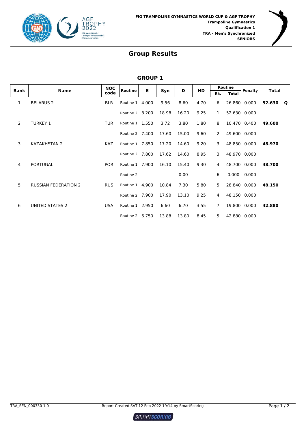



| Rank | <b>Name</b>                 | <b>NOC</b> | <b>Routine</b>  | E     | Syn   | D     | <b>HD</b> |                | <b>Routine</b> | <b>Penalty</b> | <b>Total</b> |   |
|------|-----------------------------|------------|-----------------|-------|-------|-------|-----------|----------------|----------------|----------------|--------------|---|
|      |                             | code       |                 |       |       |       |           | Rk.            | <b>Total</b>   |                |              |   |
| 1    | <b>BELARUS 2</b>            | <b>BLR</b> | Routine 1       | 4.000 | 9.56  | 8.60  | 4.70      | 6              | 26.860         | 0.000          | 52.630       | Q |
|      |                             |            | Routine 2 8.200 |       | 18.98 | 16.20 | 9.25      | 1              | 52.630 0.000   |                |              |   |
| 2    | <b>TURKEY 1</b>             | <b>TUR</b> | Routine 1 1.550 |       | 3.72  | 3.80  | 1.80      | 8              |                | 10.470 0.400   | 49.600       |   |
|      |                             |            | Routine 2 7.400 |       | 17.60 | 15.00 | 9.60      | $\overline{2}$ | 49.600 0.000   |                |              |   |
| 3    | <b>KAZAKHSTAN 2</b>         | <b>KAZ</b> | Routine 1 7.850 |       | 17.20 | 14.60 | 9.20      | 3              |                | 48.850 0.000   | 48.970       |   |
|      |                             |            | Routine 2 7.800 |       | 17.62 | 14.60 | 8.95      | 3              | 48.970 0.000   |                |              |   |
| 4    | <b>PORTUGAL</b>             | <b>POR</b> | Routine 1 7.900 |       | 16.10 | 15.40 | 9.30      | 4              | 48.700         | 0.000          | 48.700       |   |
|      |                             |            | Routine 2       |       |       | 0.00  |           | 6              | 0.000          | 0.000          |              |   |
| 5    | <b>RUSSIAN FEDERATION 2</b> | <b>RUS</b> | Routine 1 4.900 |       | 10.84 | 7.30  | 5.80      | 5              | 28.840         | 0.000          | 48.150       |   |
|      |                             |            | Routine 2 7.900 |       | 17.90 | 13.10 | 9.25      | 4              | 48.150 0.000   |                |              |   |
| 6    | UNITED STATES 2             | <b>USA</b> | Routine 1 2.950 |       | 6.60  | 6.70  | 3.55      | 7              | 19.800         | 0.000          | 42.880       |   |
|      |                             |            | Routine 2 6.750 |       | 13.88 | 13.80 | 8.45      | 5              | 42.880 0.000   |                |              |   |

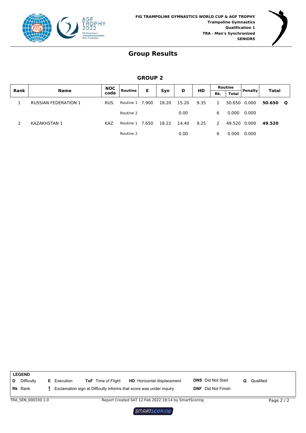



|      |                             | <b>NOC</b><br>code | Routine         | Е     | Syn   |       |           |     | Routine      |         | Total  |              |
|------|-----------------------------|--------------------|-----------------|-------|-------|-------|-----------|-----|--------------|---------|--------|--------------|
| Rank | <b>Name</b>                 |                    |                 |       |       | D     | <b>HD</b> | Rk. | <b>Total</b> | Penalty |        |              |
|      | <b>RUSSIAN FEDERATION 1</b> | <b>RUS</b>         | Routine 1       | 7.900 | 18.20 | 15.20 | 9.35      | -1  | 50.650       | 0.000   | 50.650 | $\mathbf{o}$ |
|      |                             |                    | Routine 2       |       |       | 0.00  |           | 6   | 0.000        | 0.000   |        |              |
|      | KAZAKHSTAN 1                | KAZ                | Routine 1 7.650 |       | 18.22 | 14.40 | 9.25      | 2   | 49.520       | 0.000   | 49.520 |              |
|      |                             |                    | Routine 2       |       |       | 0.00  |           | 6   | 0.000        | 0.000   |        |              |

|                    | <b>LEGEND</b>  |  |                                                                     |                           |                                   |                          |   |           |            |  |
|--------------------|----------------|--|---------------------------------------------------------------------|---------------------------|-----------------------------------|--------------------------|---|-----------|------------|--|
| D                  | Difficulty     |  | <b>E</b> Execution                                                  | <b>ToF</b> Time of Flight | <b>HD</b> Horizontal displacement | <b>DNS</b> Did Not Start | Ω | Qualified |            |  |
|                    | <b>Rk</b> Rank |  | Exclamation sign at Difficulty informs that score was under inquiry |                           | <b>DNF</b> Did Not Finish         |                          |   |           |            |  |
| TRA SEN 000330 1.0 |                |  | Report Created SAT 12 Feb 2022 19:14 by SmartScoring                |                           |                                   |                          |   |           | Page $2/2$ |  |

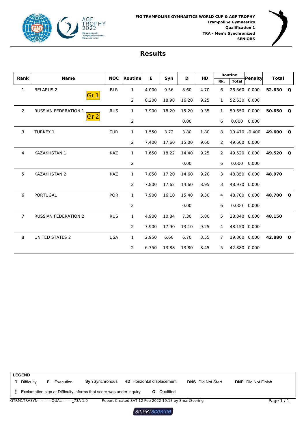



| Rank           | <b>Name</b>                 | <b>NOC</b> | Routine      | Е     | Syn   | D     | HD   |     | <b>Routine</b> | Penalty       | <b>Total</b> |              |
|----------------|-----------------------------|------------|--------------|-------|-------|-------|------|-----|----------------|---------------|--------------|--------------|
|                |                             |            |              |       |       |       |      | Rk. | <b>Total</b>   |               |              |              |
| $\mathbf{1}$   | <b>BELARUS 2</b><br>Gr 1    | <b>BLR</b> | 1            | 4.000 | 9.56  | 8.60  | 4.70 | 6   |                | 26.860 0.000  | 52.630       | $\mathbf{o}$ |
|                |                             |            | 2            | 8.200 | 18.98 | 16.20 | 9.25 | 1   |                | 52.630 0.000  |              |              |
| 2              | <b>RUSSIAN FEDERATION 1</b> | <b>RUS</b> | 1            | 7.900 | 18.20 | 15.20 | 9.35 | 1   |                | 50.650 0.000  | 50.650       | $\mathbf{o}$ |
|                | Gr 2                        |            | 2            |       |       | 0.00  |      | 6   | 0.000          | 0.000         |              |              |
| 3              | <b>TURKEY 1</b>             | <b>TUR</b> | $\mathbf{1}$ | 1.550 | 3.72  | 3.80  | 1.80 | 8   |                | 10.470 -0.400 | 49.600       | $\mathbf Q$  |
|                |                             |            | 2            | 7.400 | 17.60 | 15.00 | 9.60 | 2   |                | 49.600 0.000  |              |              |
| 4              | KAZAKHSTAN 1                | KAZ        | 1            | 7.650 | 18.22 | 14.40 | 9.25 | 2   |                | 49.520 0.000  | 49.520       | $\mathbf Q$  |
|                |                             |            | 2            |       |       | 0.00  |      | 6   | 0.000          | 0.000         |              |              |
| 5              | <b>KAZAKHSTAN 2</b>         | KAZ        | $\mathbf{1}$ | 7.850 | 17.20 | 14.60 | 9.20 | 3   | 48.850         | 0.000         | 48.970       |              |
|                |                             |            | 2            | 7.800 | 17.62 | 14.60 | 8.95 | 3   |                | 48.970 0.000  |              |              |
| 6              | <b>PORTUGAL</b>             | <b>POR</b> | $\mathbf{1}$ | 7.900 | 16.10 | 15.40 | 9.30 | 4   |                | 48.700 0.000  | 48.700       | $\mathbf Q$  |
|                |                             |            | 2            |       |       | 0.00  |      | 6   | 0.000          | 0.000         |              |              |
| $\overline{7}$ | <b>RUSSIAN FEDERATION 2</b> | <b>RUS</b> | 1            | 4.900 | 10.84 | 7.30  | 5.80 | 5   |                | 28.840 0.000  | 48.150       |              |
|                |                             |            | 2            | 7.900 | 17.90 | 13.10 | 9.25 | 4   |                | 48.150 0.000  |              |              |
| 8              | <b>UNITED STATES 2</b>      | <b>USA</b> | $\mathbf{1}$ | 2.950 | 6.60  | 6.70  | 3.55 | 7   |                | 19.800 0.000  | 42.880       | $\mathbf{o}$ |
|                |                             |            | 2            | 6.750 | 13.88 | 13.80 | 8.45 | 5   |                | 42.880 0.000  |              |              |

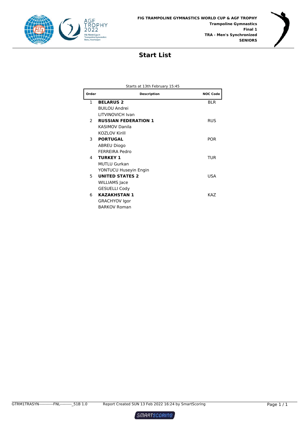



#### **Start List**

| Order         | <b>Description</b>          | <b>NOC Code</b> |
|---------------|-----------------------------|-----------------|
| 1             | <b>BELARUS 2</b>            | <b>BLR</b>      |
|               | <b>BUILOU Andrei</b>        |                 |
|               | LITVINOVICH Ivan            |                 |
| $\mathcal{P}$ | <b>RUSSIAN FEDERATION 1</b> | <b>RUS</b>      |
|               | KASIMOV Danila              |                 |
|               | <b>KOZLOV Kirill</b>        |                 |
| 3             | <b>PORTUGAL</b>             | <b>POR</b>      |
|               | <b>ABREU Diogo</b>          |                 |
|               | <b>FERREIRA Pedro</b>       |                 |
| 4             | <b>TURKEY 1</b>             | <b>TUR</b>      |
|               | <b>MUTLU Gurkan</b>         |                 |
|               | YONTUCU Huseyin Engin       |                 |
| 5             | <b>UNITED STATES 2</b>      | USA             |
|               | WILLIAMS Jace               |                 |
|               | <b>GESUELLI Cody</b>        |                 |
| 6             | <b>KAZAKHSTAN 1</b>         | <b>KAZ</b>      |
|               | <b>GRACHYOV Igor</b>        |                 |
|               | <b>BARKOV Roman</b>         |                 |

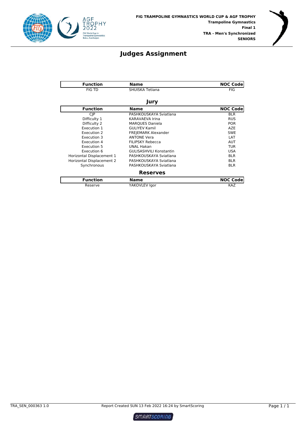



#### **Judges Assignment**

| <b>Function</b>           | <b>Name</b>                    | <b>NOC Code</b> |
|---------------------------|--------------------------------|-----------------|
| <b>FIG TD</b>             | SHUISKA Tetiana                | <b>FIG</b>      |
|                           | Jury                           |                 |
| <b>Function</b>           | Name                           | <b>NOC Code</b> |
| <b>CIP</b>                | PASHKOUSKAYA Sviatlana         | <b>BLR</b>      |
| Difficulty 1              | <b>KARAVAEVA Irina</b>         | <b>RUS</b>      |
| Difficulty 2              | <b>MARQUES Daniela</b>         | <b>POR</b>      |
| Execution 1               | <b>GULIYEV Kamil</b>           | <b>AZE</b>      |
| Execution 2               | <b>FREJEMARK Alexander</b>     | <b>SWE</b>      |
| <b>Execution 3</b>        | <b>ANTONE Vera</b>             | LAT             |
| Execution 4               | <b>FILIPSKY Rebecca</b>        | <b>AUT</b>      |
| Execution 5               | <b>UNAL Hakan</b>              | <b>TUR</b>      |
| Execution 6               | <b>GULISASHVILI Konstantin</b> | <b>USA</b>      |
| Horizontal Displacement 1 | PASHKOUSKAYA Sviatlana         | <b>BLR</b>      |
| Horizontal Displacement 2 | PASHKOUSKAYA Sviatlana         | <b>BLR</b>      |
| Synchronous               | PASHKOUSKAYA Sviatlana         | <b>BLR</b>      |
|                           | <b>Reserves</b>                |                 |
| <b>Function</b>           | <b>Name</b>                    | <b>NOC Code</b> |
| Reserve                   | YAKOVLEV Igor                  | KAZ             |

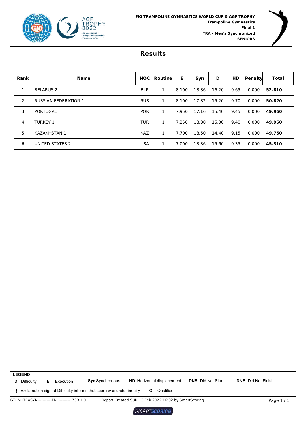



| <b>Rank</b> | <b>Name</b>                 | <b>NOC</b> | <b>IRoutinel</b> | Е     | Syn   | D     | HD   | Penalty | <b>Total</b> |
|-------------|-----------------------------|------------|------------------|-------|-------|-------|------|---------|--------------|
| 1           | <b>BELARUS 2</b>            | <b>BLR</b> |                  | 8.100 | 18.86 | 16.20 | 9.65 | 0.000   | 52.810       |
| 2           | <b>RUSSIAN FEDERATION 1</b> | <b>RUS</b> |                  | 8.100 | 17.82 | 15.20 | 9.70 | 0.000   | 50.820       |
| 3           | PORTUGAL                    | <b>POR</b> |                  | 7.950 | 17.16 | 15.40 | 9.45 | 0.000   | 49.960       |
| 4           | <b>TURKEY 1</b>             | <b>TUR</b> |                  | 7.250 | 18.30 | 15.00 | 9.40 | 0.000   | 49.950       |
| 5           | <b>KAZAKHSTAN 1</b>         | KAZ        |                  | 7.700 | 18.50 | 14.40 | 9.15 | 0.000   | 49.750       |
| 6           | UNITED STATES 2             | <b>USA</b> |                  | 7.000 | 13.36 | 15.60 | 9.35 | 0.000   | 45.310       |